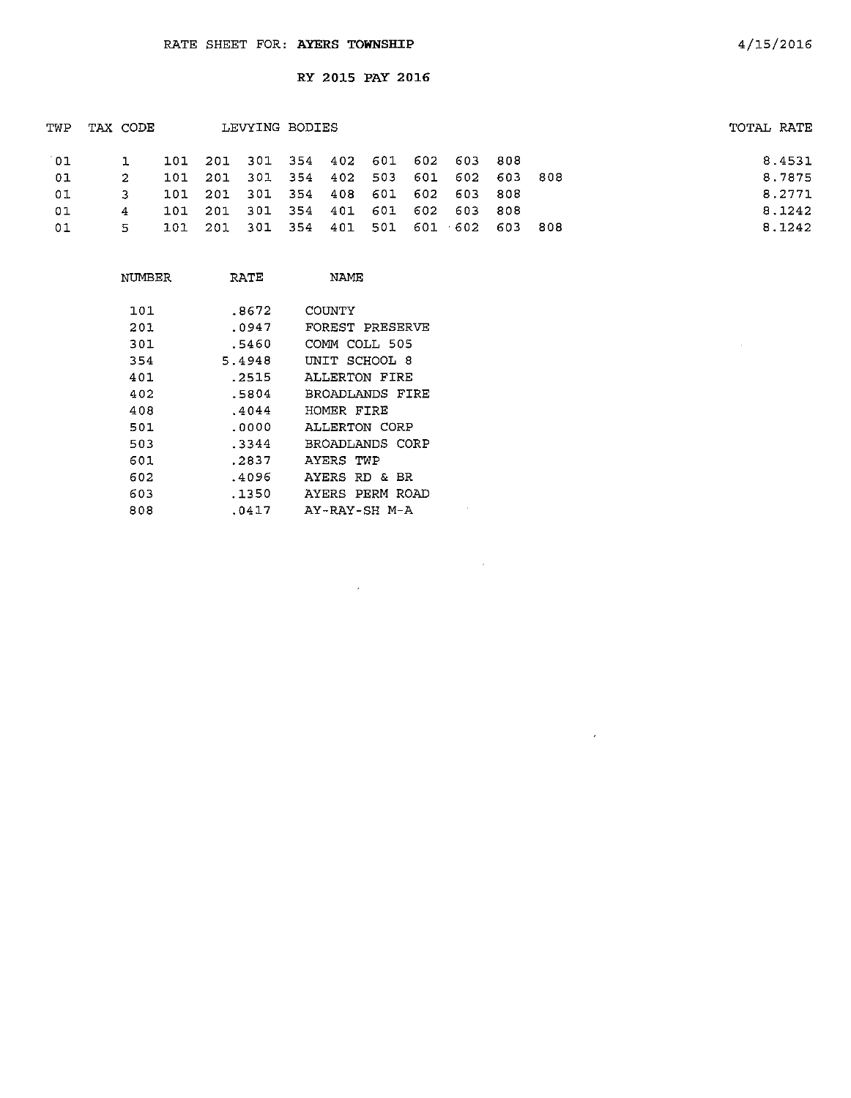$\cdot$ 

| TWP | TAX CODE |     |                                         | LEVYING BODIES |  |  |  | TOTAL RATE |
|-----|----------|-----|-----------------------------------------|----------------|--|--|--|------------|
| 01. |          |     | 101 201 301 354 402 601 602 603 808     |                |  |  |  | 8.4531     |
| 01  | 2        | 101 | 201 301 354 402 503 601 602 603 808     |                |  |  |  | 8.7875     |
| 01  |          |     | 101 201 301 354 408 601 602 603 808     |                |  |  |  | 8.2771     |
| 01  | 4        |     | 101 201 301 354 401 601 602 603 808     |                |  |  |  | 8.1242     |
| 01  | 5.       |     | 101 201 301 354 401 501 601 602 603 808 |                |  |  |  | 8.1242     |

 $\sim$ 

| NUMBER | RATE   | NAME            |
|--------|--------|-----------------|
| 101    | .8672  | COUNTY          |
| 201    | .0947  | FOREST PRESERVE |
| 301    | .5460  | COMM COLL 505   |
| 354    | 5.4948 | UNIT SCHOOL 8   |
| 401    | .2515  | ALLERTON FIRE   |
| 402    | .5804  | BROADLANDS FIRE |
| 408    | .4044  | HOMER FIRE      |
| 501.   | . 0000 | ALLERTON CORP   |
| 503    | .3344  | BROADLANDS CORP |
| 601    | .2837  | AYERS TWP       |
| 602    | .4096  | AYERS RD & BR   |
| 603    | .1350  | AYERS PERM ROAD |
| 808    | .0417  | AY-RAY-SH M-A   |
|        |        |                 |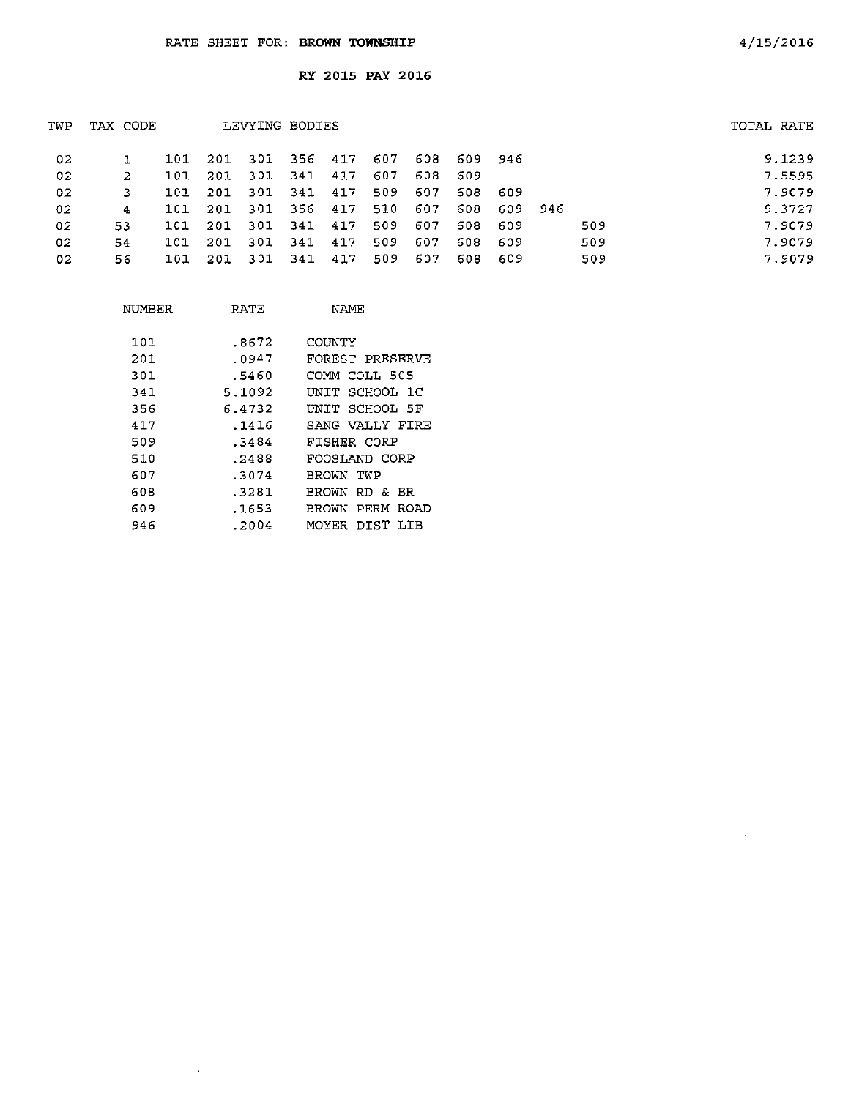| TWP | TAX CODE |     |      |      | LEVYING BODIES |     |     |     |             |         |     | TOTAL RATE |
|-----|----------|-----|------|------|----------------|-----|-----|-----|-------------|---------|-----|------------|
| 02  |          | 101 | -201 |      | 301 356 417    |     | 607 |     | 608 609 946 |         |     | 9.1239     |
| 02  | -2       | 101 | 201  |      | 301 341        | 417 | 607 | 608 | - 609       |         |     | 7.5595     |
| 02  | 3        | 101 | 201  | 301  | 341            | 417 | 509 | 607 | 608         | - 609   |     | 7.9079     |
| 02  | 4        | 101 | 201  | 301  | 356 417        |     | 510 | 607 | 608         | 609 946 |     | 9.3727     |
| 02  | 53       | 101 | -201 | -301 | 341 417        |     | 509 | 607 | 608         | - 609   | 509 | 7.9079     |
| 02  | 54       | 101 | 201  | -301 | 341            | 417 | 509 | 607 | 608         | -609    | 509 | 7.9079     |
| 02  | 56.      | 101 | -201 | -301 | 341            | 417 | 509 | 607 | 608         | -609    | 509 | 7.9079     |
|     |          |     |      |      |                |     |     |     |             |         |     |            |

| NUMBER | RATE   | NAME.           |
|--------|--------|-----------------|
| 101    | .8672  | COUNTY          |
| 201    | .0947  | FOREST PRESERVE |
| 301    | .5460  | COMM COLL 505   |
| 341    | 5.1092 | UNIT SCHOOL 1C  |
| 356    | 6.4732 | INIT SCHOOL 5F  |
| 417    | . 1416 | SANG VALLY FIRE |
| 509    | .3484  | FISHER CORP     |
| 510    | .2488  | FOOSLAND CORP   |
| 607    | .3074  | BROWN TWP       |
| 608    | .3281  | BROWN RD & BR   |
| 609    | .1653  | BROWN PERM ROAD |
| 946    | .2004  | MOYER DIST LIB  |

 $\sim 10$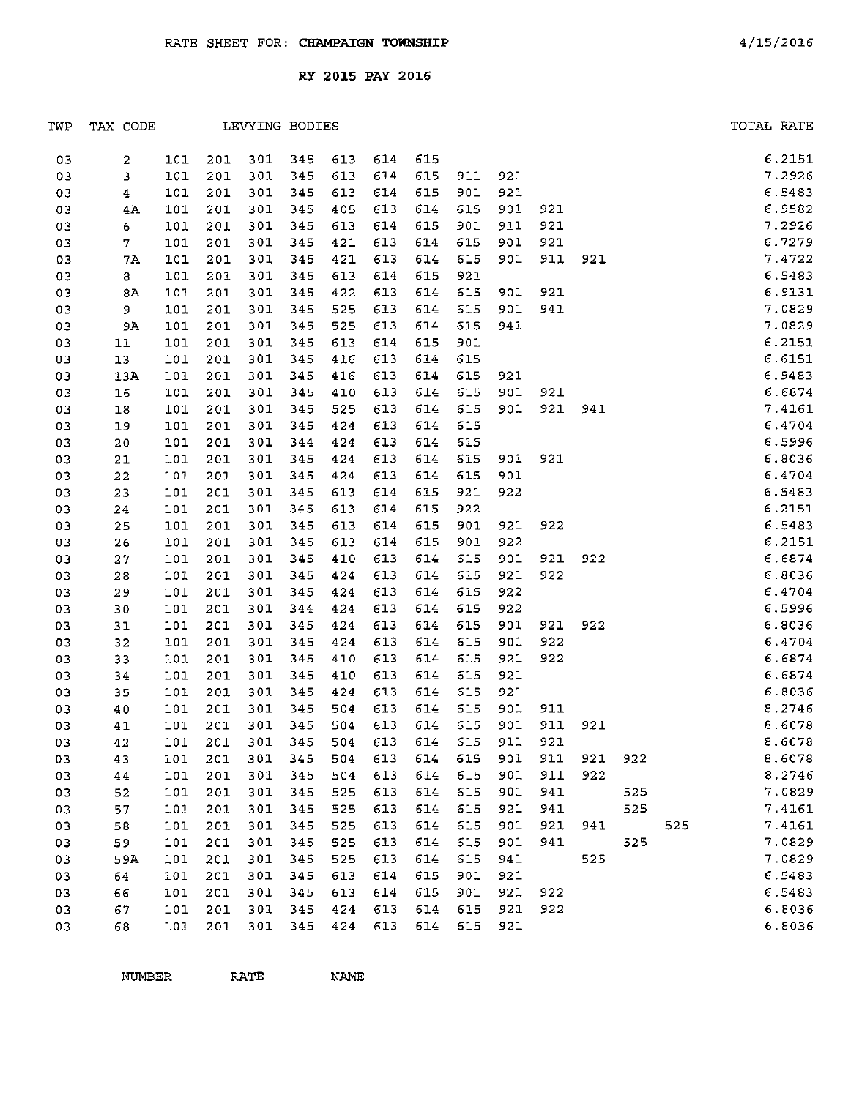| TWP | TAX CODE                |       |     |     | LEVYING BODIES |     |         |     |         |     |     |     |     |     | TOTAL RATE |        |
|-----|-------------------------|-------|-----|-----|----------------|-----|---------|-----|---------|-----|-----|-----|-----|-----|------------|--------|
| 03  | 2                       | 101   | 201 | 301 | 345            | 613 | 614     | 615 |         |     |     |     |     |     |            | 6.2151 |
| 03  | 3                       | 101   | 201 | 301 | 345            | 613 | 614     | 615 | 911     | 921 |     |     |     |     |            | 7.2926 |
| 03  | $\overline{\mathbf{4}}$ | 101   | 201 | 301 | 345            | 613 | 614     | 615 | 901     | 921 |     |     |     |     |            | 6.5483 |
| 03  | 4A                      | 101   | 201 | 301 | 345            | 405 | 613     | 614 | 615     | 901 | 921 |     |     |     |            | 6.9582 |
| 03  | 6                       | 101   | 201 | 301 | 345            | 613 | 614     | 615 | 901     | 911 | 921 |     |     |     |            | 7.2926 |
| 03  | 7                       | 101   | 201 | 301 | 345            | 421 | 613     | 614 | 615     | 901 | 921 |     |     |     |            | 6.7279 |
| 03  | 7A                      | 101   | 201 | 301 | 345            | 421 | 613     | 614 | 615     | 901 | 911 | 921 |     |     |            | 7.4722 |
| 03  | 8                       | 101   | 201 | 301 | 345            | 613 | 614     | 615 | 921     |     |     |     |     |     |            | 6.5483 |
| 03  | 8A                      | 101   | 201 | 301 | 345            | 422 | 613     | 614 | 615     | 901 | 921 |     |     |     |            | 6.9131 |
| 03  | 9                       | 101   | 201 | 301 | 345            | 525 | 613     | 614 | 615     | 901 | 941 |     |     |     |            | 7.0829 |
| 03  | 9A                      | 101   | 201 | 301 | 345            | 525 | 613     | 614 | 615     | 941 |     |     |     |     |            | 7.0829 |
| 03  | 11                      | 101   | 201 | 301 | 345            | 613 | 614     | 615 | 901     |     |     |     |     |     |            | 6.2151 |
| 03  | 13                      | 101   | 201 | 301 | 345            | 416 | 613     | 614 | 615     |     |     |     |     |     |            | 6.6151 |
| 03  | 13A                     | 101   | 201 | 301 | 345            | 416 | 613     | 614 | 615     | 921 |     |     |     |     |            | 6.9483 |
| 03  | 16                      | 101   | 201 | 301 | 345            | 410 | 613     | 614 | 615     | 901 | 921 |     |     |     |            | 6.6874 |
| 03  | 18                      | 101   | 201 | 301 | 345            | 525 | 613     | 614 | 615     | 901 | 921 | 941 |     |     |            | 7.4161 |
| 03  | 19                      | 101   | 201 | 301 | 345            | 424 | 613     | 614 | 615     |     |     |     |     |     |            | 6.4704 |
| 03  | 20                      | 101   | 201 | 301 | 344            | 424 | 613     | 614 | 615     |     |     |     |     |     |            | 6.5996 |
| 03  | 21                      | 101   | 201 | 301 | 345            | 424 | 613     | 614 | 615     | 901 | 921 |     |     |     |            | 6.8036 |
| 03  | 22                      | 101   | 201 | 301 | 345            | 424 | 613     | 614 | 615     | 901 |     |     |     |     |            | 6.4704 |
| 03  | 23                      | 101   | 201 | 301 | 345            | 613 | 614     | 615 | 921     | 922 |     |     |     |     |            | 6.5483 |
| 03  | 24                      | 101   | 201 | 301 | 345            | 613 | 614     | 615 | 922     |     |     |     |     |     |            | 6.2151 |
| 03  | 25                      | 101   | 201 | 301 | 345            | 613 | 614     | 615 | 901     | 921 | 922 |     |     |     |            | 6.5483 |
| 03  | 26                      | 101   | 201 | 301 | 345            | 613 | 614     | 615 | 901     | 922 |     |     |     |     |            | 6.2151 |
| 03  | 27                      | 101   | 201 | 301 | 345            | 410 | 613     | 614 | 615     | 901 | 921 | 922 |     |     |            | 6.6874 |
| 03  | 28                      | 101   | 201 | 301 | 345            | 424 | 613     | 614 | 615     | 921 | 922 |     |     |     |            | 6.8036 |
| 03  | 29                      | 101   | 201 | 301 | 345            | 424 | 613     | 614 | 615     | 922 |     |     |     |     |            | 6.4704 |
| 03  | 30                      | 101   | 201 | 301 | 344            | 424 | 613     | 614 | 615     | 922 |     |     |     |     |            | 6.5996 |
| 03  | 31                      | 101   | 201 | 301 | 345            | 424 | 613     | 614 | 615     | 901 | 921 | 922 |     |     |            | 6.8036 |
| 03  | 32                      | 101   | 201 | 301 | 345            | 424 | 613     | 614 | 615     | 901 | 922 |     |     |     |            | 6.4704 |
| 03  | 33                      | 101   | 201 | 301 | 345            | 410 | 613     | 614 | 615     | 921 | 922 |     |     |     |            | 6.6874 |
| 03  | 34                      | 101   | 201 | 301 | 345            | 410 | 613     | 614 | 615     | 921 |     |     |     |     |            | 6.6874 |
| 03  | 35                      | 101   | 201 | 301 | 345            | 424 | 613     | 614 | 615     | 921 |     |     |     |     |            | 6.8036 |
| 03  | 40                      | 101   | 201 | 301 | 345            | 504 | 613     | 614 | 615     | 901 | 911 |     |     |     |            | 8.2746 |
| 03  | 41                      | 101   | 201 | 301 | 345            | 504 | 613     | 614 | 615     | 901 | 911 | 921 |     |     |            | 8.6078 |
| 03  | 42                      | 101   | 201 | 301 | 345            |     | 504 613 |     | 614 615 | 911 | 921 |     |     |     |            | 8.6078 |
| 03  | 43                      | 101   | 201 | 301 | 345            | 504 | 613     | 614 | 615     | 901 | 911 | 921 | 922 |     |            | 8.6078 |
| 03  | 44                      | 101   | 201 | 301 | 345            | 504 | 613     | 614 | 615     | 901 | 911 | 922 |     |     |            | 8.2746 |
| 03  | 52                      | 101   | 201 | 301 | 345            | 525 | 613     | 614 | 615     | 901 | 941 |     | 525 |     |            | 7.0829 |
| 03  | 57                      | 101   | 201 | 301 | 345            | 525 | 613     | 614 | 615     | 921 | 941 |     | 525 |     |            | 7.4161 |
| 03  | 58                      | $101$ | 201 | 301 | 345            | 525 | 613     | 614 | 615     | 901 | 921 | 941 |     | 525 |            | 7.4161 |
| 03  | 59                      | 101   | 201 | 301 | 345            | 525 | 613     | 614 | 615     | 901 | 941 |     | 525 |     |            | 7.0829 |
| 03  | 59A                     | 101   | 201 | 301 | 345            | 525 | 613     | 614 | 615     | 941 |     | 525 |     |     |            | 7.0829 |
| 03  | 64                      | 101   | 201 | 301 | 345            | 613 | 614     | 615 | 901     | 921 |     |     |     |     |            | 6.5483 |
| 03  | 66                      | 101   | 201 | 301 | 345            | 613 | 614     | 615 | 901     | 921 | 922 |     |     |     |            | 6.5483 |
| 03  | 67                      | 101   | 201 | 301 | 345            | 424 | 613     | 614 | 615     | 921 | 922 |     |     |     |            | 6.8036 |
| 03  | 68                      | 101   | 201 | 301 | 345            | 424 | 613     | 614 | 615     | 921 |     |     |     |     |            | 6.8036 |

NUMBER RATE NAME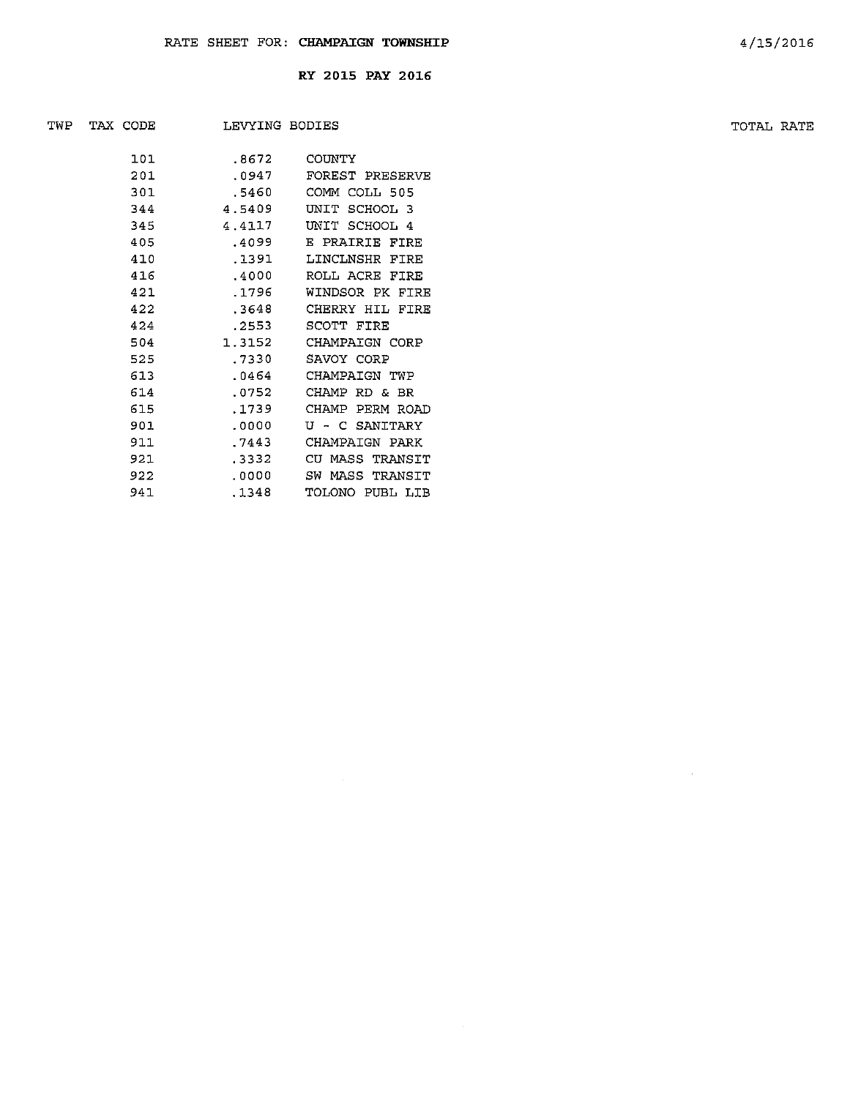| TWP | TAX CODE |     | LEVYING BODIES |                 | TOTAL RATE |  |
|-----|----------|-----|----------------|-----------------|------------|--|
|     |          |     |                |                 |            |  |
|     |          | 101 | .8672          | COUNTY          |            |  |
|     |          | 201 | .0947          | FOREST PRESERVE |            |  |
|     |          | 301 | .5460          | COMM COLL 505   |            |  |
|     |          | 344 | 4.5409         | UNIT SCHOOL 3   |            |  |
|     |          | 345 | 4.4117         | UNIT SCHOOL 4   |            |  |
|     |          | 405 | .4099          | E PRAIRIE FIRE  |            |  |
|     |          | 410 | .1391          | LINCLNSHR FIRE  |            |  |
|     |          | 416 | .4000          | ROLL ACRE FIRE  |            |  |
|     |          | 421 | .1796          | WINDSOR PK FIRE |            |  |
|     |          | 422 | .3648          | CHERRY HIL FIRE |            |  |
|     |          | 424 | .2553          | SCOTT FIRE      |            |  |
|     |          | 504 | 1.3152         | CHAMPAIGN CORP  |            |  |
|     |          | 525 | .7330          | SAVOY CORP      |            |  |
|     |          | 613 | .0464          | CHAMPAIGN TWP   |            |  |
|     |          | 614 | .0752          | CHAMP RD & BR   |            |  |
|     |          | 615 | .1739          | CHAMP PERM ROAD |            |  |
|     |          | 901 | .0000          | U - C SANITARY  |            |  |
|     |          | 911 | .7443          | CHAMPAIGN PARK  |            |  |
|     |          | 921 | .3332          | CU MASS TRANSIT |            |  |
|     |          | 922 | .0000          | SW MASS TRANSIT |            |  |
|     |          | 941 | .1348          | TOLONO PUBL LIB |            |  |

 $\sim$   $\sim$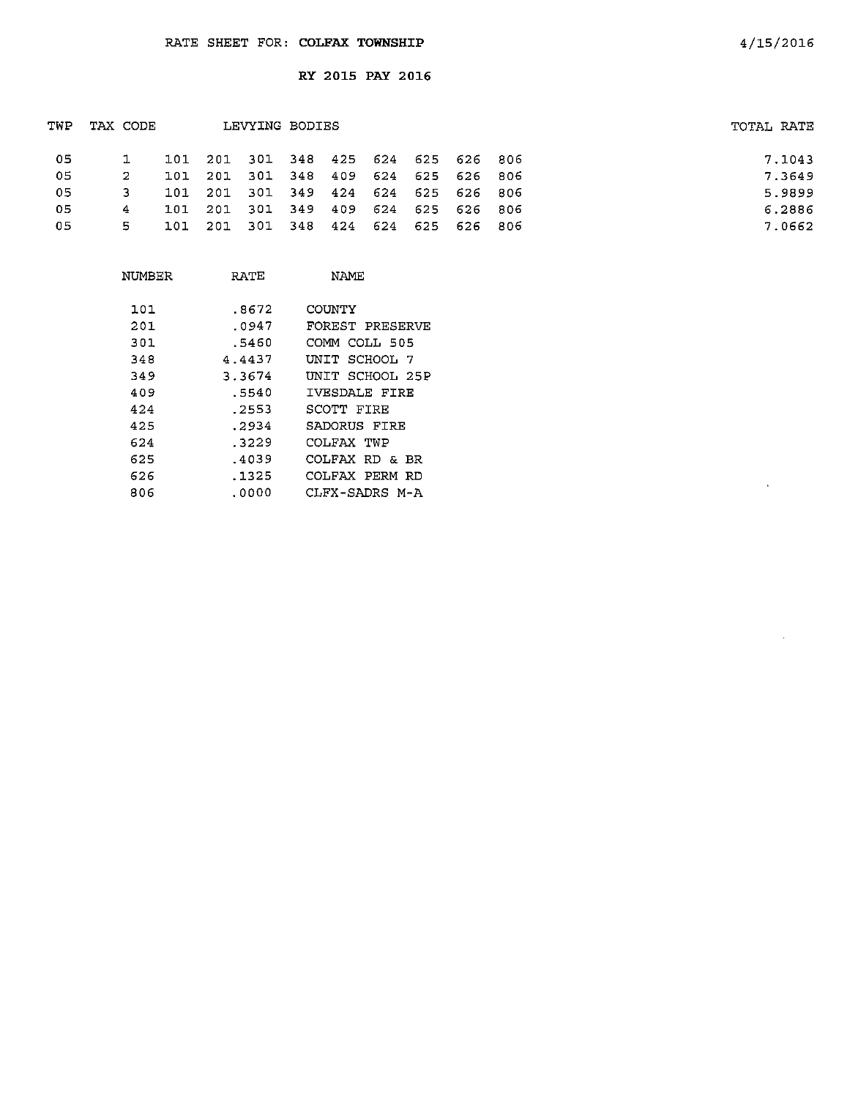| TWP | TAX CODE |     |                                     | LEVYING BODIES              |        |             |         |                     | TOTAL RATE |
|-----|----------|-----|-------------------------------------|-----------------------------|--------|-------------|---------|---------------------|------------|
| -05 |          |     | 101 201 301 348 425 624 625 626 806 |                             |        |             |         |                     | 7.1043     |
| -05 | -2       | 101 | -201                                | - 301                       |        | 348 409 624 |         | 625 626 806         | 7.3649     |
| 05  |          | 101 | - 201                               | 301 349 424 624 625 626 806 |        |             |         |                     | 5.9899     |
| 05  | 4        | 101 | 201                                 | - 301                       | $-349$ |             | 409 624 | 625 626 806         | 6.2886     |
| 05  | 5.       | 101 | 201                                 | 301 348                     |        |             |         | 424 624 625 626 806 | 7.0662     |
|     |          |     |                                     |                             |        |             |         |                     |            |

| NUMBER | RATE   | NAME            |
|--------|--------|-----------------|
| 101    | .8672  | COUNTY          |
| 201    | .0947  | FOREST PRESERVE |
| 301    | .5460  | COMM COLL 505   |
| 348    | 4.4437 | UNIT SCHOOL 7   |
| 349    | 3.3674 | UNIT SCHOOL 25P |
| 409    | .5540  | IVESDALE FIRE   |
| 424    | .2553  | SCOTT FIRE      |
| 425    | .2934  | SADORUS FIRE    |
| 624    | .3229  | COLFAX TWP      |
| 625    | .4039  | COLFAX RD & BR  |
| 626    | .1325  | COLFAX PERM RD  |
| 806    | .0000  | CLFX-SADRS M-A  |

 $\lambda$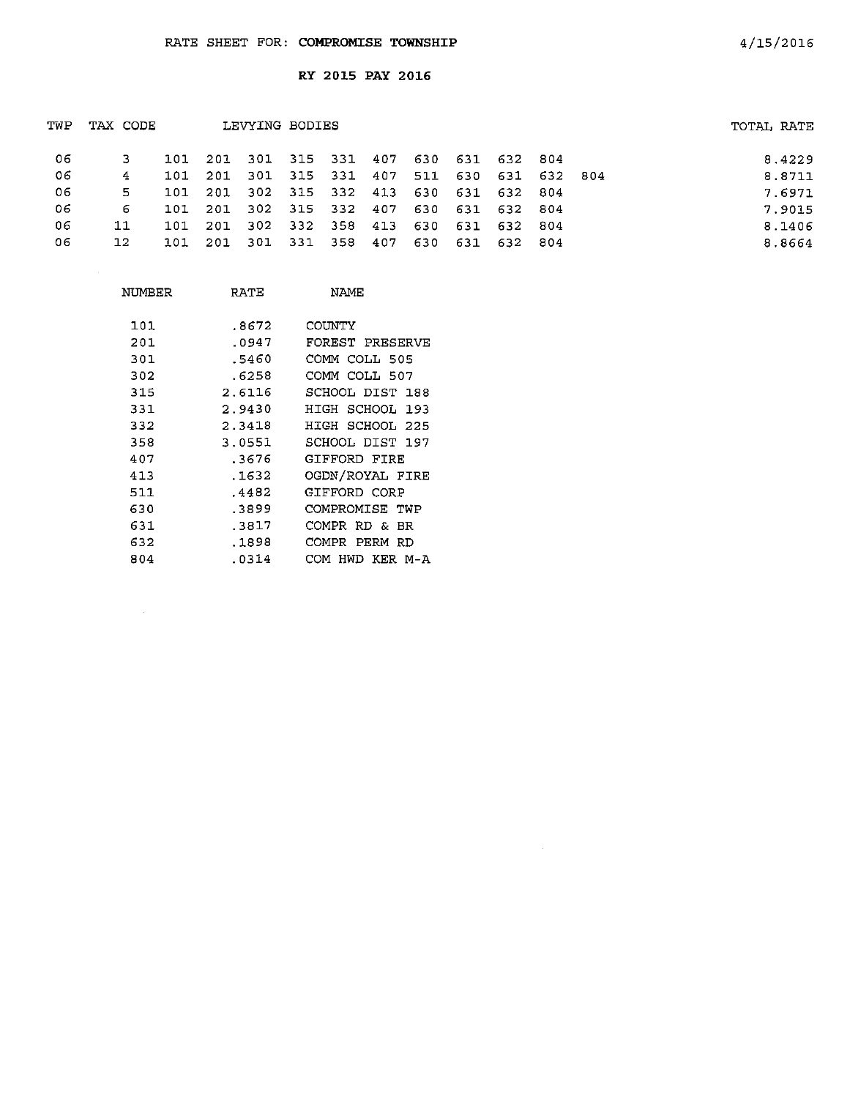| TWP | TAX CODE     |     |                                         | LEVYING BODIES |  |  |                     |  | TOTAL RATE |        |
|-----|--------------|-----|-----------------------------------------|----------------|--|--|---------------------|--|------------|--------|
| -06 |              |     | 101 201 301 315 331 407 630 631 632 804 |                |  |  |                     |  |            | 8.4229 |
| -06 | 4            |     | 101 201 301 315 331 407                 |                |  |  | 511 630 631 632 804 |  |            | 8.8711 |
| -06 | 5.           | 101 | 201 302 315 332 413 630 631 632 804     |                |  |  |                     |  |            | 7.6971 |
| 06  | 6            |     | 101 201 302 315 332 407 630 631 632 804 |                |  |  |                     |  |            | 7.9015 |
| 06  | 11           |     | 101 201 302 332 358 413 630 631 632 804 |                |  |  |                     |  |            | 8.1406 |
| 06  | $12^{\circ}$ |     | 101 201 301 331 358 407                 |                |  |  | 630 631 632 804     |  |            | 8.8664 |
|     |              |     |                                         |                |  |  |                     |  |            |        |

 $\sim 10^{-1}$ 

| NUMBER | RATE   | <b>NAME</b>         |
|--------|--------|---------------------|
| 101    | .8672  | COUNTY              |
| 201    | .0947  | FOREST PRESERVE     |
| 301    | .5460  | COMM COLL 505       |
| 302    | .6258  | COMM COLL 507       |
| 315    | 2.6116 | SCHOOL DIST 188     |
| 331    | 2.9430 | HIGH SCHOOL 193     |
| 332    | 2.3418 | HIGH SCHOOL 225     |
| 358    | 3.0551 | SCHOOL DIST 197     |
| 407    | .3676  | GIFFORD FIRE        |
| 413    | .1632  | OGDN/ROYAL FIRE     |
| 511    | .4482  | GIFFORD CORP        |
| 630    | .3899  | COMPROMISE TWP      |
| 631    | .3817  | COMPR RD & BR       |
| 632    | .1898  | COMPR<br>PERM<br>RD |
| 804    | .0314  | HWD KER M-A<br>COM  |

4/15/2016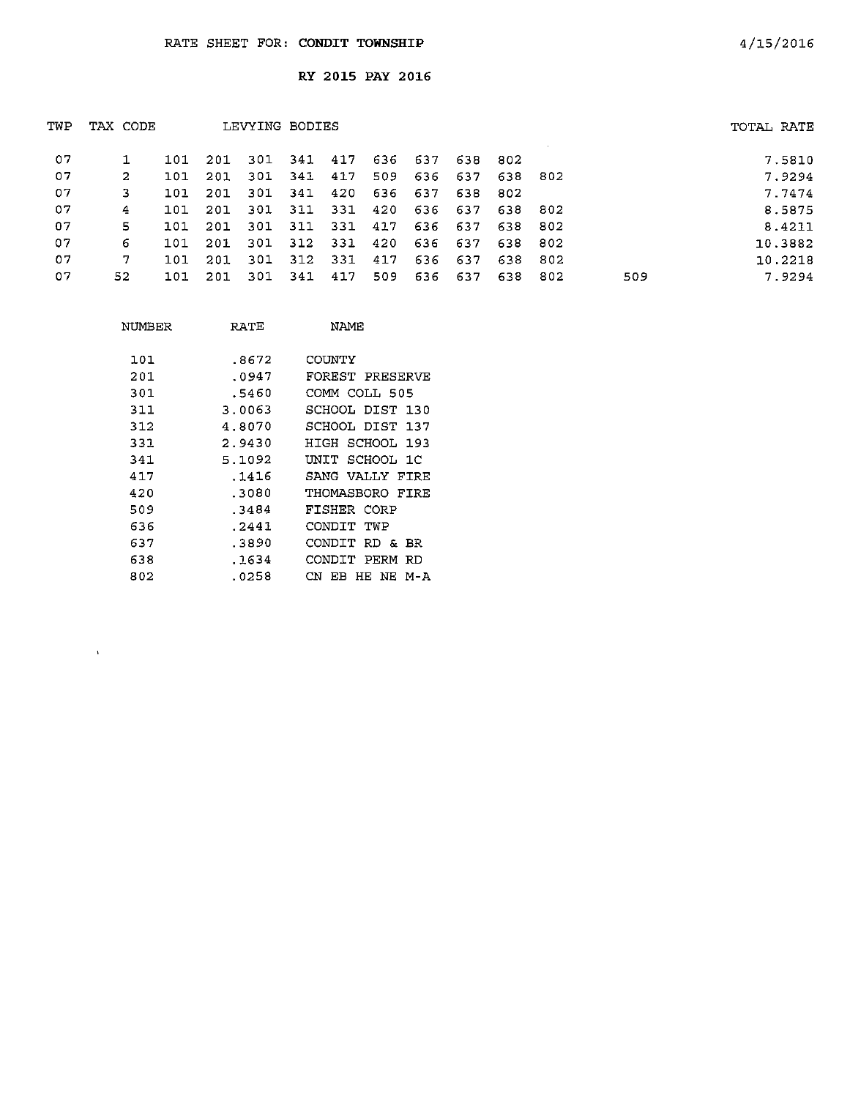| TWP | TAX CODE |     |      | LEVYING BODIES |             |     |     |         |         |             |      |     | TOTAL RATE |         |
|-----|----------|-----|------|----------------|-------------|-----|-----|---------|---------|-------------|------|-----|------------|---------|
| 07  |          | 101 | -201 |                | 301 341 417 |     |     | 636 637 | 638 802 |             |      |     |            | 7.5810  |
| -07 | 2        | 101 | 201  | -301           | 341 417     |     | 509 | 636     |         | 637 638 802 |      |     |            | 7.9294  |
| 07  | 3        | 101 | 201  | -301           | 341         | 420 | 636 | 637     | 638     | - 802       |      |     |            | 7.7474  |
| 07  | 4        | 101 | 201  | 301            | 311         | 331 | 420 |         | 636 637 | 638 802     |      |     |            | 8.5875  |
| 07  | 5.       | 101 | -201 |                | 301 311     | 331 | 417 |         | 636 637 | 638         | 802  |     |            | 8.4211  |
| 07  | 6        | 101 | -201 | 301            | 312         | 331 | 420 | 636     | 637     | 638         | 802  |     |            | 10.3882 |
| 07  | 7        | 101 | 201  | -301           | 312         | 331 | 417 |         | 636 637 | 638         | 802  |     |            | 10.2218 |
| 07  | 52       | 101 | 201  | -301           | 341         | 417 | 509 |         | 636 637 | 638         | -802 | 509 |            | 7.9294  |

| NUMBER | RATE   | NAME                |
|--------|--------|---------------------|
| 101    | .8672  | COUNTY              |
| 201    | .0947  | FOREST PRESERVE     |
| 301    | .5460  | COMM COLL 505       |
| 311    | 3.0063 | SCHOOL DIST 130     |
| 312    | 4.8070 | SCHOOL DIST 137     |
| 331    | 2.9430 | HIGH SCHOOL 193     |
| 341    | 5.1092 | UNIT SCHOOL 1C      |
| 417    | .1416  | SANG VALLY FIRE     |
| 420    | .3080  | THOMASBORO FIRE     |
| 509    | .3484  | FISHER CORP         |
| 636    | .2441  | CONDIT TWP          |
| 637    | .3890  | CONDIT RD & BR      |
| 638    | .1634  | CONDIT PERM RD      |
| 802    | .0258  | CN.<br>EB HE NE M-A |
|        |        |                     |

 $\Lambda^{\pm}$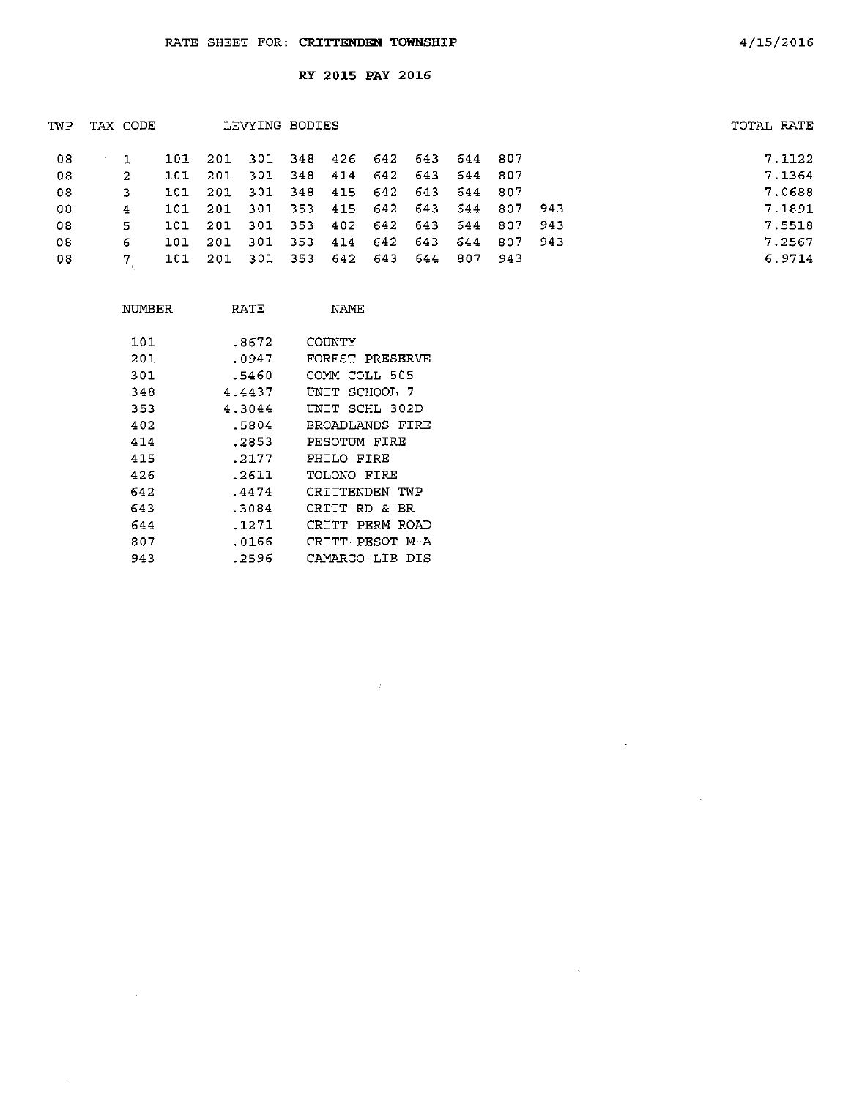$\mathcal{L}$ 

 $\sim$ 

 $\bar{\lambda}$ 

| TWP | TAX CODE |     |      | LEVYING BODIES                  |         |                             |     |                 |       |       | TOTAL RATE |        |
|-----|----------|-----|------|---------------------------------|---------|-----------------------------|-----|-----------------|-------|-------|------------|--------|
| 08  |          | 101 |      | 201 301 348 426 642 643 644 807 |         |                             |     |                 |       |       |            | 7.1122 |
| 08  | 2        | 101 | -201 | -301                            |         | 348 414 642 643 644 807     |     |                 |       |       |            | 7.1364 |
| 08  | 3.       | 101 | 201  |                                 |         | 301 348 415 642 643 644 807 |     |                 |       |       |            | 7.0688 |
| 08  | 4        | 101 | -201 |                                 |         | 301 353 415 642 643 644 807 |     |                 |       | 943   |            | 7.1891 |
| 08  | 5.       | 101 | 201  |                                 | 301 353 |                             |     | 402 642 643 644 | - 807 | -943  |            | 7.5518 |
| 08  | 6        | 101 | -201 | 301                             | 353     | 414                         |     | 642 643 644 807 |       | - 943 |            | 7.2567 |
| 08  |          | 101 | 201  | 301 353 642 643                 |         |                             | 644 | 807 943         |       |       |            | 6.9714 |

| NUMBER | RATE   | <b>NAMF</b>         |
|--------|--------|---------------------|
|        |        |                     |
| 101    | .8672  | COUNTY              |
| 201    | .0947  | FOREST PRESERVE     |
| 301    | .5460  | COMM COLL 505       |
| 348    | 4.4437 | UNIT SCHOOL 7       |
| 353    | 4.3044 | SCHL 302D<br>UNIT   |
| 402    | .5804  | BROADLANDS FIRE     |
| 414    | .2853  | PESOTUM FIRE        |
| 415    | . 2177 | PHILO FIRE          |
| 426    | .2611  | TOLONO FTRE         |
| 642    | .4474  | CRITTENDEN TWP      |
| 643    | .3084  | CRITT<br>RD &<br>BR |
| 644    | .1271  | CRTTT<br>PERM ROAD  |
| 807    | .0166  | CRITT-PESOT M-A     |
| 943    | . 2596 | CAMARGO LIB<br>DIS  |

 $\sim$   $\sim$ 

 $\sim$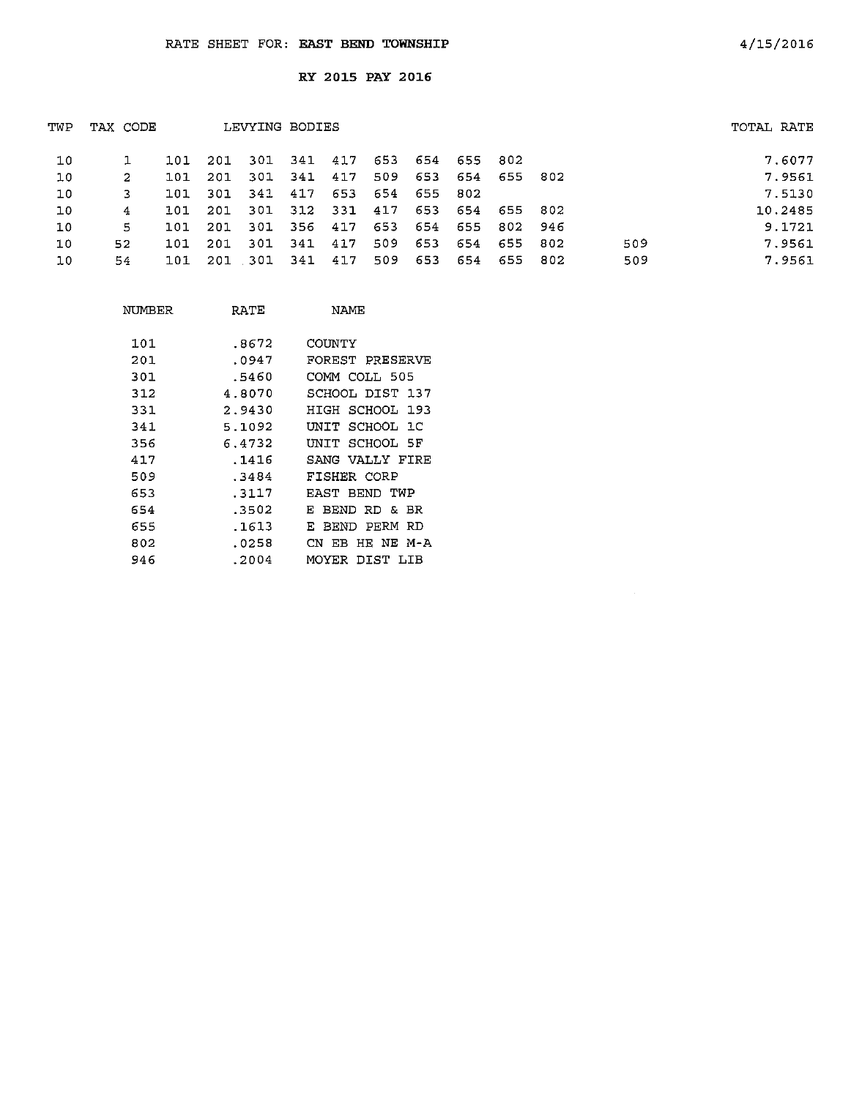| TWP | TAX CODE |     |      | LEVYING BODIES |         |       |     |     |         |             |     |     | TOTAL RATE |
|-----|----------|-----|------|----------------|---------|-------|-----|-----|---------|-------------|-----|-----|------------|
| 10  |          | 101 | -201 | 301            | 341 417 |       | 653 | 654 | 655 802 |             |     |     | 7.6077     |
| 10  | 2        | 101 | 201  | 301            | 341     | 417   | 509 | 653 |         | 654 655 802 |     |     | 7.9561     |
| 10  | 3        | 101 | -301 | 341 417        |         | 653   | 654 | 655 | 802     |             |     |     | 7.5130     |
| 10  | 4        | 101 | -201 | 301            | 312     | - 331 | 417 | 653 |         | 654 655 802 |     |     | 10.2485    |
| 10  | 5        | 101 | 201  | 301            | 356     | 417   | 653 | 654 | 655     | 802 946     |     |     | 9.1721     |
| 10  | 52.      | 101 | 201  | -301           | -341    | 417   | 509 | 653 | 654     | 655 802     |     | 509 | 7.9561     |
| 10  | 54       | 101 | 201  | - 301          | 341     | 417   | 509 | 653 | 654     | 655         | 802 | 509 | 7.9561     |

| NUMBER | RATE   | NAMF                 |
|--------|--------|----------------------|
| 101    | .8672  | COUNTY               |
| 201    | .0947  | FOREST PRESERVE      |
| 301    | .5460  | COMM COLL 505        |
| 312    | 4.8070 | SCHOOL DIST 137      |
| 331    | 2.9430 | HIGH SCHOOL 193      |
| 341    | 5.1092 | UNIT SCHOOL 1C       |
| 356    | 6.4732 | UNIT SCHOOL 5F       |
| 417    | . 1416 | SANG VALLY FIRE      |
| 509    | .3484  | FISHER CORP          |
| 653    | .3117  | EAST BEND TWP        |
| 654    | .3502  | BEND RD & BR<br>Е    |
| 655    | .1613  | BFND PFRM RD<br>F.   |
| 802    | .0258  | CN EB HE NE M-A      |
| 946    | .2004  | DIST<br>MOYER<br>LIB |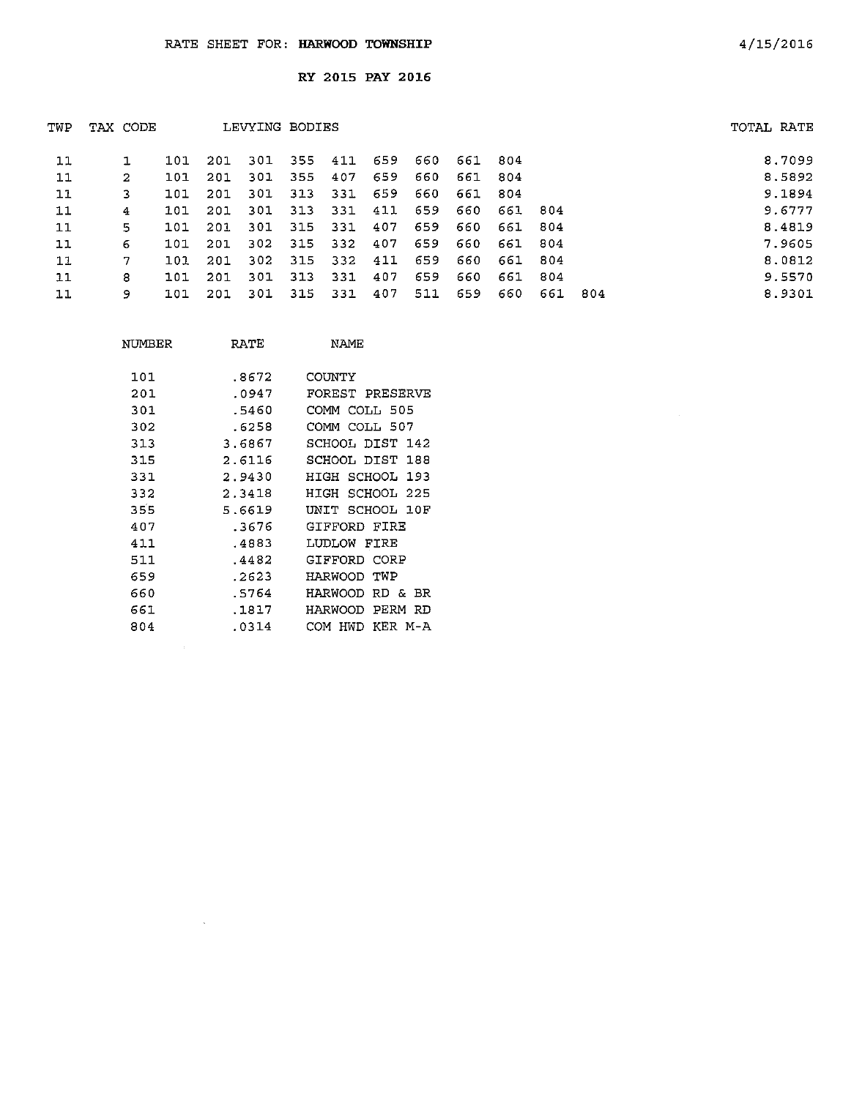| TWP | TAX CODE |     |      | LEVYING BODIES |     |     |     |     |         |         |      |      | TOTAL RATE |
|-----|----------|-----|------|----------------|-----|-----|-----|-----|---------|---------|------|------|------------|
| 11  |          | 101 | 201  | 301            | 355 | 411 | 659 | 660 | 661 804 |         |      |      | 8,7099     |
| 11  | 2        | 101 | 201  | -301           | 355 | 407 | 659 | 660 | 661     | 804     |      |      | 8.5892     |
| 11  | 3        | 101 | 201  | 301            | 313 | 331 | 659 | 660 | 661     | -804    |      |      | 9.1894     |
| 11  | 4        | 101 | 201  | 301            | 313 | 331 | 411 | 659 | 660     | 661 804 |      |      | 9.6777     |
| 11  | 5.       | 101 | -201 | 301            | 315 | 331 | 407 | 659 | 660     | 661     | -804 |      | 8.4819     |
| 11  | 6        | 101 | 201  | 302            | 315 | 332 | 407 | 659 | 660     | 661     | -804 |      | 7.9605     |
| 11  | 7        | 101 | 201  | 302            | 315 | 332 | 411 | 659 | 660     | 661 804 |      |      | 8.0812     |
| 11  | 8        | 101 | 201  | 301            | 313 | 331 | 407 | 659 | 660     | 661     | 804  |      | 9.5570     |
| 11  | 9        | 101 | 201  | -301           | 315 | 331 | 407 | 511 | 659     | 660     | 661  | -804 | 8.9301     |

| NUMBER | RATE   | NAME                   |
|--------|--------|------------------------|
| 101    | .8672  | COUNTY                 |
| 201    | .0947  | FOREST PRESERVE        |
| 301    | .5460  | COMM COLL 505          |
| 302    | .6258  | COMM COLL 507          |
| 313    | 3.6867 | SCHOOL DIST 142        |
| 315    | 2.6116 | SCHOOL DIST<br>188     |
| 331    | 2.9430 | HIGH SCHOOL 193        |
| 332    | 2.3418 | SCHOOL 225<br>HIGH     |
| 355    | 5.6619 | UNIT SCHOOL 10F        |
| 407    | .3676  | GIFFORD FIRE           |
| 411    | .4883  | LUDLOW FIRE            |
| 511    | .4482  | GIFFORD CORP           |
| 659    | . 2623 | TWP<br>HARWOOD         |
| 660    | .5764  | HARWOOD<br>RD &<br>RR. |
| 661    | .1817  | PERM<br>HARWOOD<br>RD  |
| 804    | .0314  | KER M-A<br>HWD<br>COM  |

 $\hat{\mathcal{L}}_{\text{max}}$ 

 $\sim$   $\sim$ 

 $\mathcal{L}^{\text{max}}_{\text{max}}$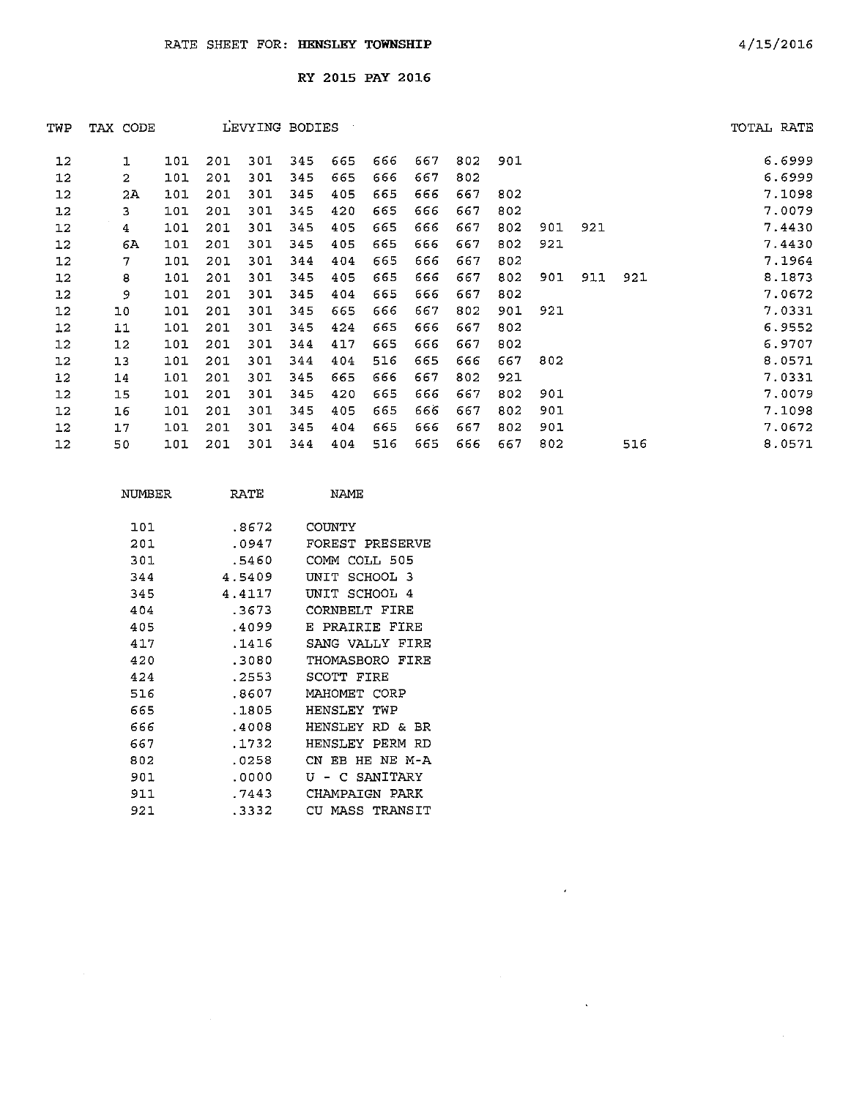| TWP | TAX CODE       |     |     | LEVYING BODIES |     |     |     |     |     |     |     |     |     | TOTAL RATE |
|-----|----------------|-----|-----|----------------|-----|-----|-----|-----|-----|-----|-----|-----|-----|------------|
| 12  | 1              | 101 | 201 | 301            | 345 | 665 | 666 | 667 | 802 | 901 |     |     |     | 6.6999     |
| 12  | $\overline{2}$ | 101 | 201 | 301            | 345 | 665 | 666 | 667 | 802 |     |     |     |     | 6.6999     |
| 12  | 2A             | 101 | 201 | 301            | 345 | 405 | 665 | 666 | 667 | 802 |     |     |     | 7.1098     |
| 12  | 3              | 101 | 201 | 301            | 345 | 420 | 665 | 666 | 667 | 802 |     |     |     | 7.0079     |
| 12  | 4              | 101 | 201 | 301            | 345 | 405 | 665 | 666 | 667 | 802 | 901 | 921 |     | 7.4430     |
| 12  | 6A             | 101 | 201 | 301            | 345 | 405 | 665 | 666 | 667 | 802 | 921 |     |     | 7.4430     |
| 12  | 7              | 101 | 201 | 301            | 344 | 404 | 665 | 666 | 667 | 802 |     |     |     | 7.1964     |
| 12  | 8              | 101 | 201 | 301            | 345 | 405 | 665 | 666 | 667 | 802 | 901 | 911 | 921 | 8.1873     |
| 12  | 9              | 101 | 201 | 301            | 345 | 404 | 665 | 666 | 667 | 802 |     |     |     | 7.0672     |
| 12  | 10             | 101 | 201 | 301            | 345 | 665 | 666 | 667 | 802 | 901 | 921 |     |     | 7.0331     |
| 12  | 11             | 101 | 201 | 301            | 345 | 424 | 665 | 666 | 667 | 802 |     |     |     | 6.9552     |
| 12  | 12             | 101 | 201 | 301            | 344 | 417 | 665 | 666 | 667 | 802 |     |     |     | 6.9707     |
| 12  | 13             | 101 | 201 | 301            | 344 | 404 | 516 | 665 | 666 | 667 | 802 |     |     | 8.0571     |
| 12  | 14             | 101 | 201 | 301            | 345 | 665 | 666 | 667 | 802 | 921 |     |     |     | 7.0331     |
| 12  | 15             | 101 | 201 | 301            | 345 | 420 | 665 | 666 | 667 | 802 | 901 |     |     | 7.0079     |
| 12  | 16             | 101 | 201 | 301            | 345 | 405 | 665 | 666 | 667 | 802 | 901 |     |     | 7.1098     |
| 12  | 17             | 101 | 201 | 301            | 345 | 404 | 665 | 666 | 667 | 802 | 901 |     |     | 7.0672     |
| 12  | 50             | 101 | 201 | 301            | 344 | 404 | 516 | 665 | 666 | 667 | 802 |     | 516 | 8.0571     |
|     |                |     |     |                |     |     |     |     |     |     |     |     |     |            |

 $\sim 10^6$ 

 $\mathbf{A}^{\dagger}$ 

 $\mathcal{A}$ 

| NUMBER | RATE   | NAME                         |
|--------|--------|------------------------------|
| 1 O 1  | .8672  | COIMTY                       |
| 201    | .0947  | FOREST PRESERVE              |
| 301    | .5460  | COMM.<br>COLL 505            |
| 344    | 4.5409 | SCHOOL 3<br>TNTT             |
| 345    | 4.4117 | SCHOOL 4<br>INTT             |
| 404    | .3673  | CORNBELT FIRE                |
| 405    | .4099  | PRAIRIE FIRE<br>F.           |
| 417    | .1416  | SANG VALLY<br>FIRE           |
| 420    | .3080  | THOMASBORO<br>FIRE           |
| 424    | . 2553 | SCOTT FIRE                   |
| 516    | .8607  | MAHOMET CORP                 |
| 665    | .1805  | HENSLEY TWP                  |
| 666    | .4008  | HENSLEY.<br>RD &<br>RR.      |
| 667    | . 1732 | HENSLEY PERM<br>חת           |
| 802    | .0258  | CN FB<br>HE NE M-A           |
| 901    | .0000  | SANITARY<br>ŢŢ<br>$\epsilon$ |
| 911    | .7443  | СНАМРАТСЫ<br>PARK            |
| 921    | . 3332 | MASS TRANSIT<br>CH           |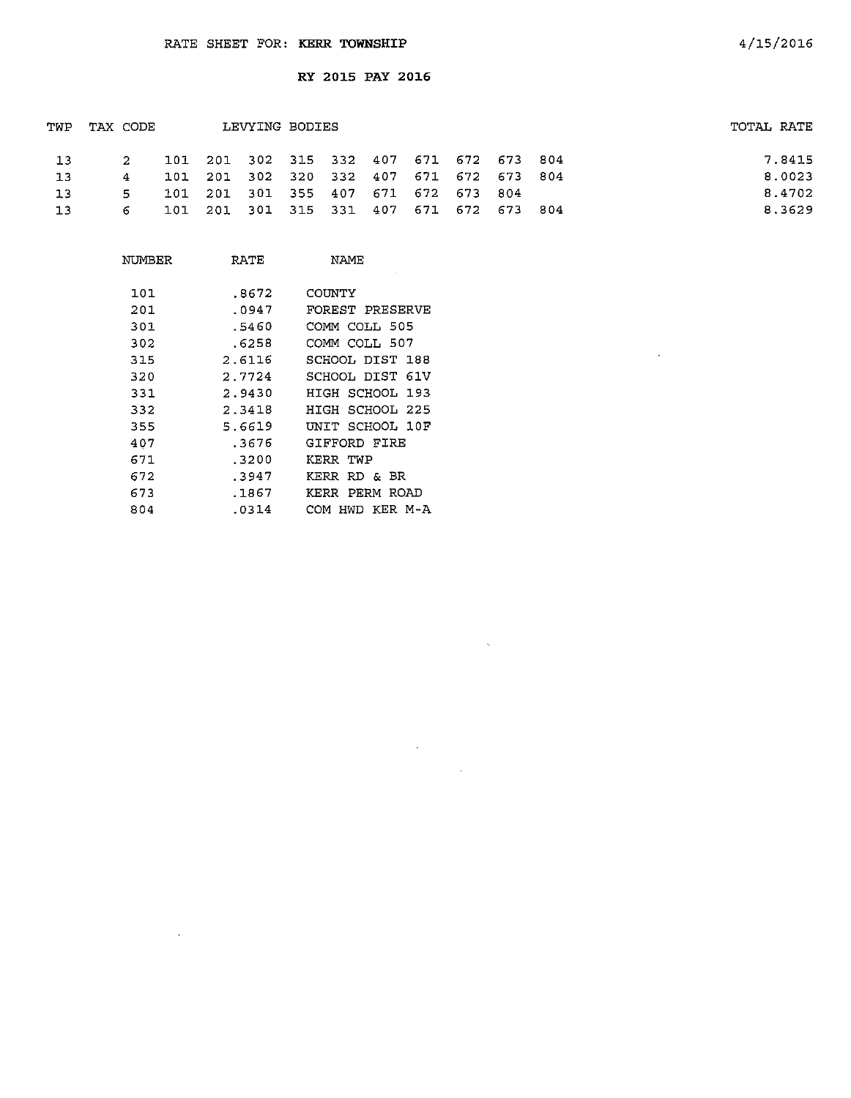| TWP | TAX CODE |  | LEVYING BODIES                          |  |  |  | TOTAL RATE |        |
|-----|----------|--|-----------------------------------------|--|--|--|------------|--------|
| 13  | $\sim$   |  | 101 201 302 315 332 407 671 672 673 804 |  |  |  |            | 7.8415 |
| -13 | $4\quad$ |  | 101 201 302 320 332 407 671 672 673 804 |  |  |  |            | 8.0023 |
| 13  | 5.       |  | 101 201 301 355 407 671 672 673 804     |  |  |  |            | 8.4702 |
| 13  | 6.       |  | 101 201 301 315 331 407 671 672 673 804 |  |  |  |            | 8.3629 |
|     |          |  |                                         |  |  |  |            |        |

 $\sim 80$ 

 $\mathcal{A}^{\text{max}}_{\text{max}}$ 

 $\sim 10^{11}$  km s  $^{-1}$ 

| NUMBER | RATE   | NAME                  |
|--------|--------|-----------------------|
| 101    | .8672  | COUNTY                |
| 201    | .0947  | FOREST PRESERVE       |
| 301    | .5460  | COMM COLL 505         |
| 302    | .6258  | COMM COLL 507         |
| 315    | 2.6116 | SCHOOL DIST 188       |
| 320    | 2.7724 | SCHOOL DIST 61V       |
| 331    | 2.9430 | HIGH SCHOOL 193       |
| 332    | 2.3418 | HIGH SCHOOL 225       |
| 355    | 5.6619 | UNIT SCHOOL 10F       |
| 407    | .3676  | GIFFORD FIRE          |
| 671    | .3200  | KERR TWP              |
| 672    | .3947  | KERR RD & BR          |
| 673    | .1867  | PERM ROAD<br>KERR     |
| 804    | .0314  | KER M-A<br>сом<br>HWD |

 $\sim 10^{11}$  km s  $^{-1}$ 

 $\sim 10^{11}$  km  $^{-1}$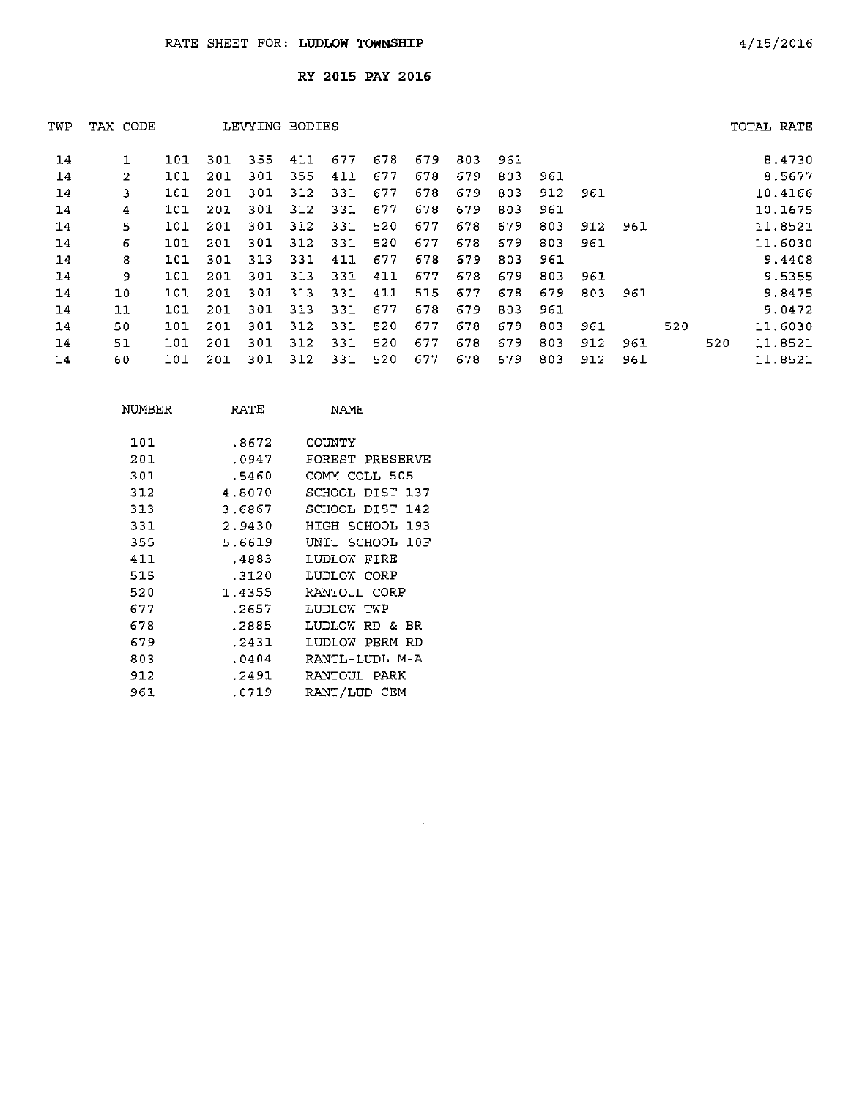| TWP | TAX CODE       |     |     | LEVYING BODIES |     |     |     |     |     |     |     |     |     |     |     | TOTAL RATE |
|-----|----------------|-----|-----|----------------|-----|-----|-----|-----|-----|-----|-----|-----|-----|-----|-----|------------|
| 14  |                | 101 | 301 | 355            | 411 | 677 | 678 | 679 | 803 | 961 |     |     |     |     |     | 8.4730     |
| 14  | $\overline{2}$ | 101 | 201 | 301            | 355 | 411 | 677 | 678 | 679 | 803 | 961 |     |     |     |     | 8.5677     |
| 14  | 3              | 101 | 201 | 301            | 312 | 331 | 677 | 678 | 679 | 803 | 912 | 961 |     |     |     | 10.4166    |
| 14  | 4              | 101 | 201 | 301            | 312 | 331 | 677 | 678 | 679 | 803 | 961 |     |     |     |     | 10.1675    |
| 14  | 5              | 101 | 201 | 301            | 312 | 331 | 520 | 677 | 678 | 679 | 803 | 912 | 961 |     |     | 11.8521    |
| 14  | 6              | 101 | 201 | -301           | 312 | 331 | 520 | 677 | 678 | 679 | 803 | 961 |     |     |     | 11.6030    |
| 14  | 8              | 101 | 301 | 313            | 331 | 411 | 677 | 678 | 679 | 803 | 961 |     |     |     |     | 9.4408     |
| 14  | 9              | 101 | 201 | 301            | 313 | 331 | 411 | 677 | 678 | 679 | 803 | 961 |     |     |     | 9.5355     |
| 14  | 10             | 101 | 201 | 301            | 313 | 331 | 411 | 515 | 677 | 678 | 679 | 803 | 961 |     |     | 9.8475     |
| 14  | 11             | 101 | 201 | 301            | 313 | 331 | 677 | 678 | 679 | 803 | 961 |     |     |     |     | 9.0472     |
| 14  | 50             | 101 | 201 | 301            | 312 | 331 | 520 | 677 | 678 | 679 | 803 | 961 |     | 520 |     | 11.6030    |
| 14  | 51             | 101 | 201 | 301            | 312 | 331 | 520 | 677 | 678 | 679 | 803 | 912 | 961 |     | 520 | 11.8521    |
| 14  | 60             | 101 | 201 | 301            | 312 | 331 | 520 | 677 | 678 | 679 | 803 | 912 | 961 |     |     | 11.8521    |

 $\mathcal{L}^{\text{max}}_{\text{max}}$ 

| NUMBER | RATE   | NAME            |
|--------|--------|-----------------|
| 101    | .8672  | COUNTY          |
| 201    | .0947  | FOREST PRESERVE |
| 301    | .5460  | COMM COLI, 505  |
| 312    | 4.8070 | SCHOOL DIST 137 |
| 313    | 3.6867 | SCHOOL DIST 142 |
| 331    | 2.9430 | HIGH SCHOOL 193 |
| 355    | 5.6619 | UNIT SCHOOL 10F |
| 411    | .4883  | LUDLOW FIRE     |
| 515    | .3120  | LUDLOW CORP     |
| 520    | 1.4355 | RANTOUL CORP    |
| 677    | .2657  | LUDLOW TWP      |
| 678    | .2885  | LUDLOW RD & BR  |
| 679    | .2431  | LUDLOW PERM RD  |
| 803    | .0404  | RANTL-LUDL M-A  |
| 912    | .2491  | RANTOUL PARK    |
| 961    | .0719  | RANT/LUD CEM    |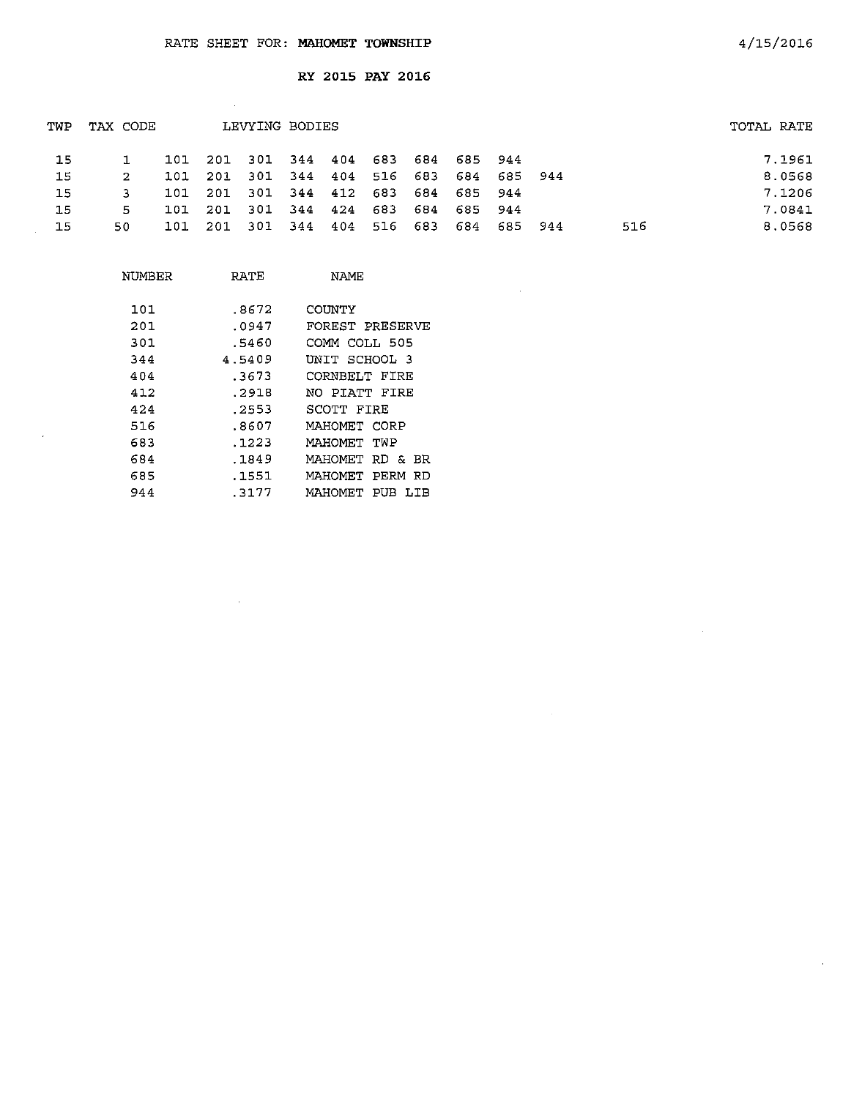$\sim 10^6$ 

 $\mathcal{L}_{\mathbf{a}}$ 

 $\mathcal{A}^{\mathcal{A}}$ 

RY 2015 PAY 2016

|     |     |          |                         |                |                                                     |     |                |                                                                   |                                                | TOTAL RATE |
|-----|-----|----------|-------------------------|----------------|-----------------------------------------------------|-----|----------------|-------------------------------------------------------------------|------------------------------------------------|------------|
|     |     |          |                         |                |                                                     |     |                |                                                                   |                                                | 7.1961     |
| 2   | 101 |          |                         |                |                                                     |     |                |                                                                   |                                                | 8.0568     |
|     |     |          |                         |                |                                                     |     |                |                                                                   |                                                | 7.1206     |
| 5.  | 101 |          |                         |                |                                                     |     |                |                                                                   |                                                | 7.0841     |
| 50. | 101 | -201     |                         |                |                                                     |     |                |                                                                   | 516                                            | 8.0568     |
|     |     | TAX CODE | 201<br>101 201<br>- 201 | - 301<br>- 301 | LEVYING BODIES<br>301 344 412<br>344 424<br>344 404 | 683 | 683<br>516 683 | 101 201 301 344 404 683 684 685 944<br>684 685 944<br>684 685 944 | 301 344 404 516 683 684 685 944<br>684 685 944 |            |

 $\sim$   $\sim$ 

| NUMBER | RATE   | NAMF            |
|--------|--------|-----------------|
| 101    | .8672  | COUNTY          |
| 201    | .0947  | FOREST PRESERVE |
| 301    | .5460  | COMM COLL 505   |
| 344    | 4.5409 | UNIT SCHOOL 3   |
| 404    | .3673  | CORNBELT FIRE   |
| 412    | .2918  | NO PIATT FIRE   |
| 424    | . 2553 | SCOTT FIRE      |
| 516    | .8607  | MAHOMET CORP    |
| 683    | .1223  | MAHOMET TWP     |
| 684    | .1849  | MAHOMET RD & BR |
| 685    | .1551  | MAHOMET PERM RD |
| 944    | .3177  | MAHOMET PUB LIB |
|        |        |                 |

 $\sim 10^{-11}$ 

 $\sim$ 

 $\sim 10^7$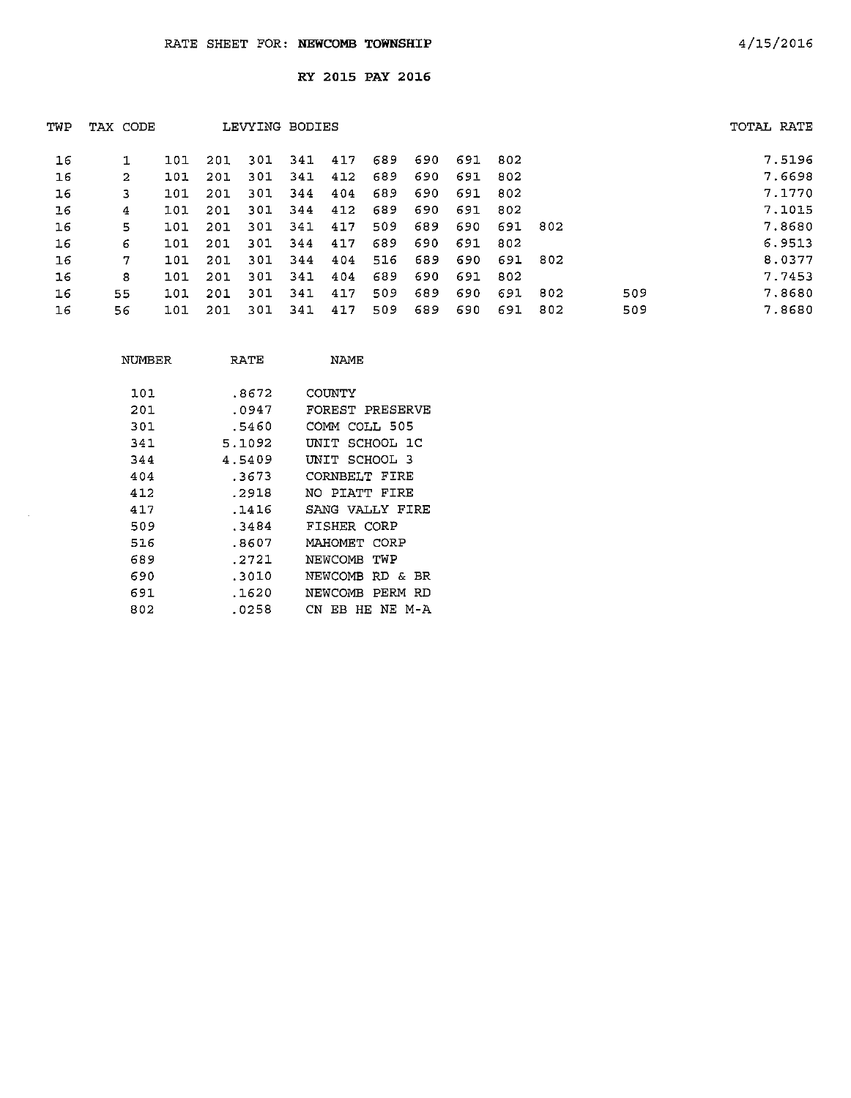| TWP | TAX CODE       |     |     | LEVYING BODIES |      |     |     |     |     |      |      |     | TOTAL RATE |
|-----|----------------|-----|-----|----------------|------|-----|-----|-----|-----|------|------|-----|------------|
| 16  |                | 101 | 201 | 301            | 341  | 417 | 689 | 690 | 691 | 802  |      |     | 7.5196     |
| 16  | $\overline{2}$ | 101 | 201 | 301            | 341  | 412 | 689 | 690 | 691 | 802  |      |     | 7.6698     |
| 16  | 3              | 101 | 201 | 301            | 344  | 404 | 689 | 690 | 691 | 802  |      |     | 7.1770     |
| 16  | 4              | 101 | 201 | 301            | 344  | 412 | 689 | 690 | 691 | 802  |      |     | 7.1015     |
| 16  | 5              | 101 | 201 | 301            | 341  | 417 | 509 | 689 | 690 | 691  | 802  |     | 7.8680     |
| 16  | 6              | 101 | 201 | 301            | 344  | 417 | 689 | 690 | 691 | 802  |      |     | 6.9513     |
| 16  | 7              | 101 | 201 | 301            | 344  | 404 | 516 | 689 | 690 | 691  | -802 |     | 8.0377     |
| 16  | 8              | 101 | 201 | 301            | -341 | 404 | 689 | 690 | 691 | -802 |      |     | 7.7453     |
| 16  | 55             | 101 | 201 | -301           | 341  | 417 | 509 | 689 | 690 | 691  | 802  | 509 | 7.8680     |
| 16  | 56             | 101 | 201 | 301            | 341  | 417 | 509 | 689 | 690 | 691  | 802  | 509 | 7.8680     |

| NUMBER | RATE   | <b>NAME</b>         |
|--------|--------|---------------------|
| 101    | .8672  | COUNTY              |
| 201    | .0947  | FOREST PRESERVE     |
| 301    | .5460  | COMM COLL 505       |
| 341    | 5.1092 | UNIT SCHOOL 1C      |
| 344    | 4.5409 | UNIT SCHOOL 3       |
| 404    | .3673  | CORNBELT FIRE       |
| 412    | .2918  | NO PIATT FIRE       |
| 417    | .1416  | SANG VALLY FIRE     |
| 509    | .3484  | FISHER CORP         |
| 516    | .8607  | MAHOMET CORP        |
| 689    | .2721  | NEWCOMB TWP         |
| 690    | .3010  | NEWCOMB RD & BR     |
| 691    | .1620  | NEWCOMB PERM RD     |
| 802    | .0258  | CN.<br>EB HE NE M-A |
|        |        |                     |

 $\sim$   $\omega$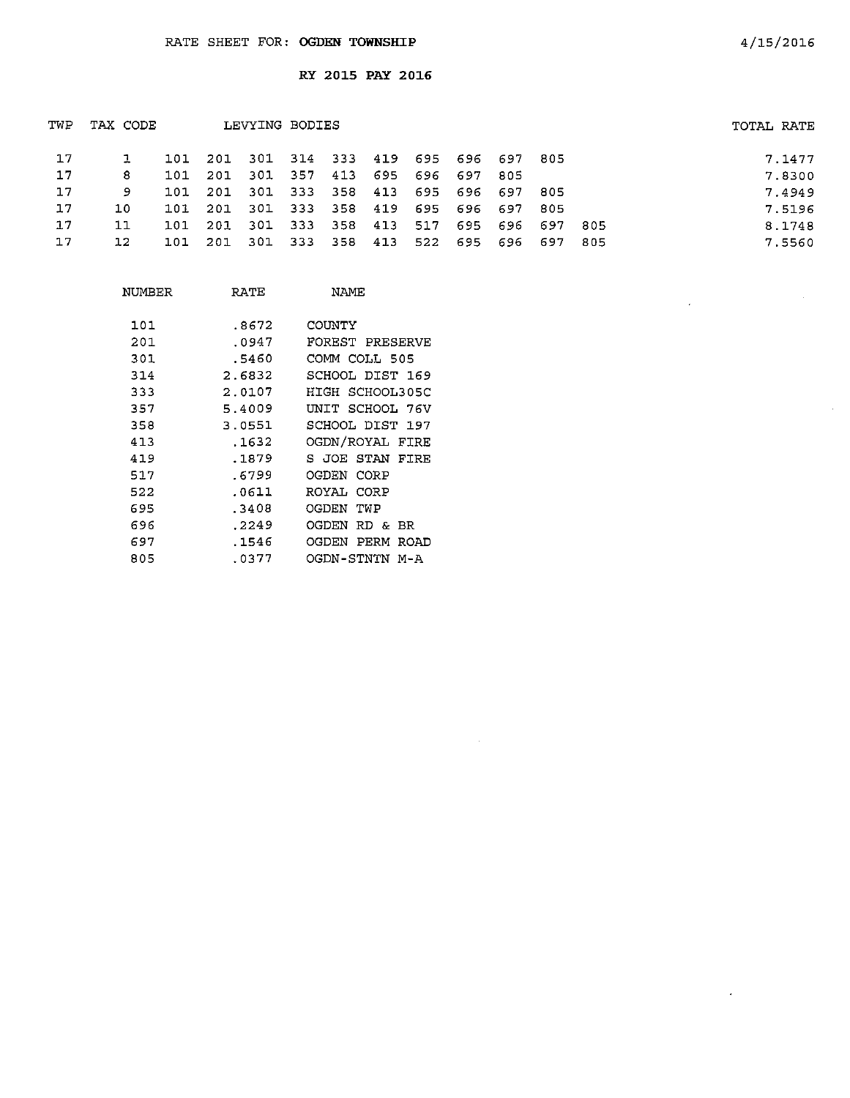| TWP | TAX CODE |      |                                         | LEVYING BODIES  |  |                             |                                 |      | TOTAL RATE |        |
|-----|----------|------|-----------------------------------------|-----------------|--|-----------------------------|---------------------------------|------|------------|--------|
| 17  |          |      | 101 201 301 314 333 419 695 696 697 805 |                 |  |                             |                                 |      |            | 7.1477 |
| 17  | -8       | 101  | 201                                     |                 |  | 301 357 413 695 696 697 805 |                                 |      |            | 7.8300 |
| 17  | 9        | 101  | 201 301 333 358 413 695 696 697 805     |                 |  |                             |                                 |      |            | 7.4949 |
| 17  | 10.      | 101  | - 201                                   |                 |  |                             | 301 333 358 419 695 696 697 805 |      |            | 7.5196 |
| 17  | 11       | 101  | 201 301 333 358 413 517 695 696 697     |                 |  |                             |                                 | -805 |            | 8.1748 |
| 17  | 12       | 101. | 201                                     | 301 333 358 413 |  |                             | 522 695 696 697 805             |      |            | 7.5560 |
|     |          |      |                                         |                 |  |                             |                                 |      |            |        |

| NUMBER | RATE   | NAME                  |
|--------|--------|-----------------------|
| 101    | .8672  | COUNTY                |
| 201    | .0947  | FOREST PRESERVE       |
| 301    | .5460  | COMM COLL 505         |
|        |        |                       |
| 314    | 2.6832 | SCHOOL DIST 169       |
| 333    | 2.0107 | HIGH SCHOOL305C       |
| 357    | 5.4009 | UNIT SCHOOL 76V       |
| 358    | 3.0551 | SCHOOL DIST 197       |
| 413    | .1632  | OGDN/ROYAL FIRE       |
| 419    | .1879  | S JOE STAN FIRE       |
| 517    | .6799  | OGDEN<br>CORP         |
| 522    | .0611  | ROYAL CORP            |
| 695    | .3408  | OGDEN<br>TWP          |
| 696    | .2249  | OGDEN.<br>RD & BR     |
| 697    | .1546  | OGDEN<br>PERM<br>ROAD |
| 805    | .0377  | OGDN-STNTN M-A        |

 $\mathcal{A}$ 

 $\mathcal{A}^{\pm}$ 

 $\sim$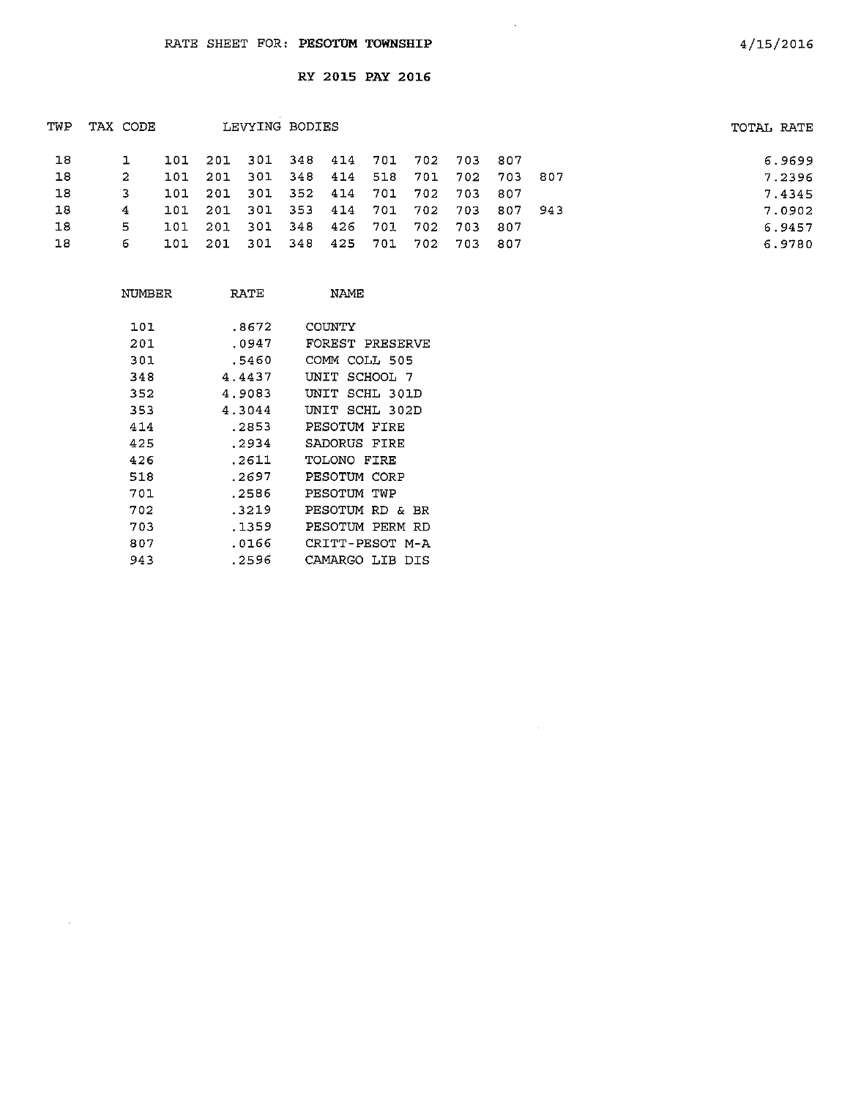| TWP | TAX CODE |     |                                     | LEVYING BODIES              |  |  |                                         | TOTAL RATE |        |
|-----|----------|-----|-------------------------------------|-----------------------------|--|--|-----------------------------------------|------------|--------|
| 18  |          |     | 101 201 301 348 414 701 702 703 807 |                             |  |  |                                         |            | 6.9699 |
| 18  | -2       |     | 101 201                             |                             |  |  | 301 348 414 518 701 702 703 807         |            | 7.2396 |
| 18  |          |     | 101 201 301 352 414 701 702 703 807 |                             |  |  |                                         |            | 7.4345 |
| 18  | 4        |     |                                     |                             |  |  | 101 201 301 353 414 701 702 703 807 943 |            | 7.0902 |
| 18  | 5.       | 101 | 201                                 | 301 348 426 701 702 703 807 |  |  |                                         |            | 6.9457 |
| 18  | 6        |     | 101 201 301 348 425 701 702 703 807 |                             |  |  |                                         |            | 6.9780 |
|     |          |     |                                     |                             |  |  |                                         |            |        |

 $\sim 10^{11}$  km s  $^{-1}$ 

 $\sim 10^7$ 

| NUMBER | RATE   | NAME                  |
|--------|--------|-----------------------|
| 101    | .8672  | COUNTY                |
| 201    | .0947  | FOREST PRESERVE       |
| 301    | .5460  | COMM<br>COLL 505      |
| 348    | 4.4437 | SCHOOL 7<br>UNIT      |
| 352    | 4.9083 | יד את ז<br>SCHL 301D  |
| 353    | 4.3044 | SCHL 302D<br>UNIT     |
| 414    | .2853  | PESOTUM FIRE          |
| 425    | .2934  | SADORUS FIRE          |
| 426    | .2611  | TOLONO FIRE           |
| 518    | .2697  | PESOTUM CORP          |
| 701    | .2586  | PESOTUM TWP           |
| 702    | .3219  | PESOTUM<br>RD & BR    |
| 703    | .1359  | PESOTUM PERM RD       |
| 807    | .0166  | CRITT-PESOT M-A       |
| 943    | .2596  | CAMARGO<br>LIB<br>DTS |

 $\sim$ 

4/15/2016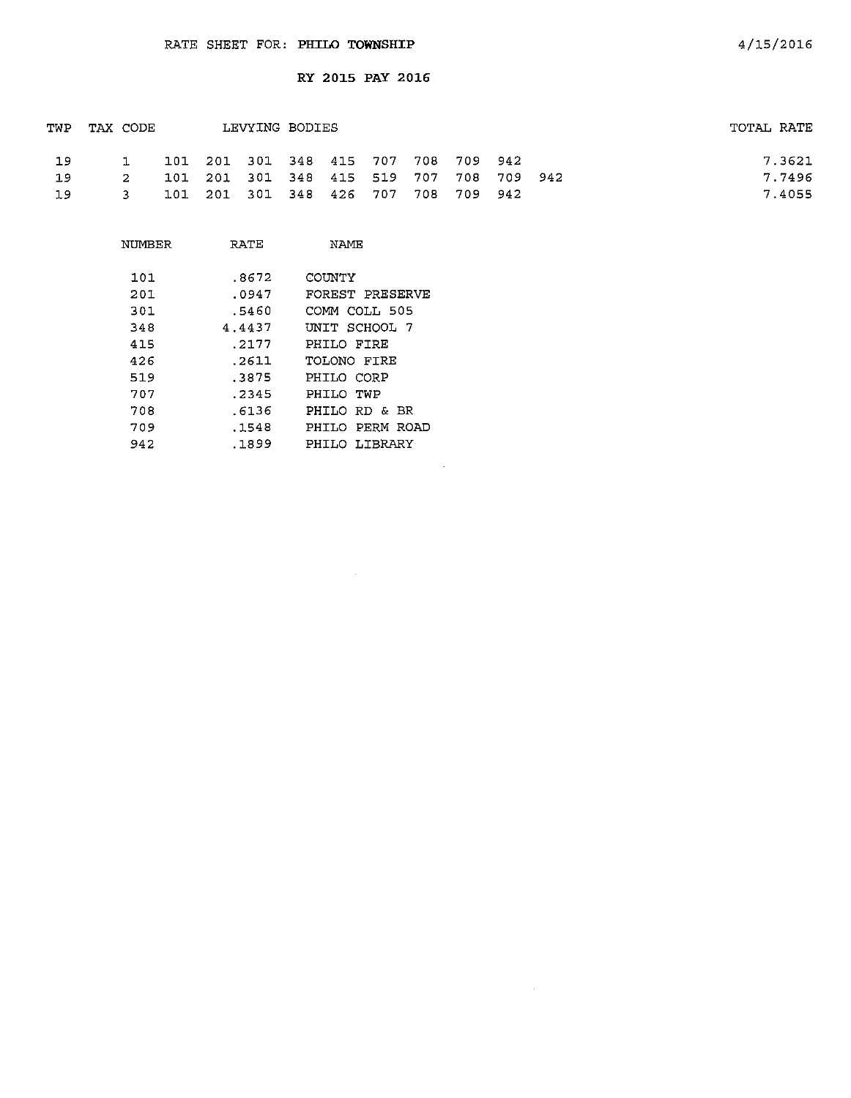$\sim 10^7$ 

| TWP | TAX CODE    |  | LEVYING BODIES                          |  |  |  | TOTAL RATE |
|-----|-------------|--|-----------------------------------------|--|--|--|------------|
| 19  | $\mathbf 1$ |  | 101 201 301 348 415 707 708 709 942     |  |  |  | 7.3621     |
| 19  | $\sim$ 2    |  | 101 201 301 348 415 519 707 708 709 942 |  |  |  | 7.7496     |
| 19  | $-3$        |  | 101 201 301 348 426 707 708 709 942     |  |  |  | 7.4055     |

 $\sim 10^{-1}$ 

 $\sim 10^{-1}$ 

| NIJMBER | RATE   | NAME            |
|---------|--------|-----------------|
| 101     | .8672  | COUNTY          |
| 201     | .0947  | FOREST PRESERVE |
| 301     | .5460  | COMM COLL 505   |
| 348     | 4.4437 | UNIT SCHOOL 7   |
| 415     | . 2177 | PHILO FIRE      |
| 426     | .2611  | TOLONO FTRE     |
| 519     | .3875  | PHILO CORP      |
| 707     | .2345  | PHILO TWP       |
| 708     | .6136  | PHILO RD & BR   |
| 709     | .1548  | PHILO PERM ROAD |
| 942     | . 1899 | PHILO LIBRARY   |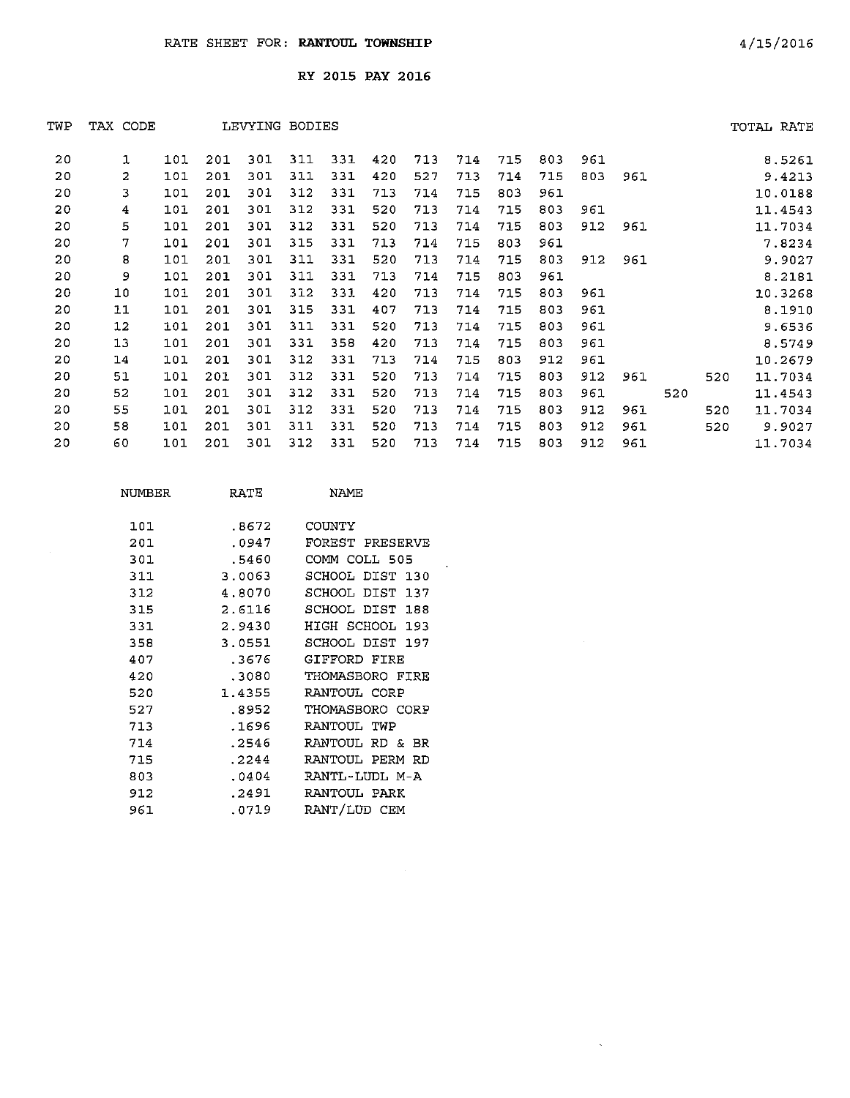| TWP | TAX CODE |     |     | LEVYING | BODIES |     |     |     |     |     |     |     |     |     |     | TOTAL RATE |
|-----|----------|-----|-----|---------|--------|-----|-----|-----|-----|-----|-----|-----|-----|-----|-----|------------|
| 20  | 1        | 101 | 201 | 301     | 311    | 331 | 420 | 713 | 714 | 715 | 803 | 961 |     |     |     | 8.5261     |
| 20  | 2        | 101 | 201 | 301     | 311    | 331 | 420 | 527 | 713 | 714 | 715 | 803 | 961 |     |     | 9.4213     |
| 20  | 3        | 101 | 201 | 301     | 312    | 331 | 713 | 714 | 715 | 803 | 961 |     |     |     |     | 10.0188    |
| 20  | 4        | 101 | 201 | 301     | 312    | 331 | 520 | 713 | 714 | 715 | 803 | 961 |     |     |     | 11.4543    |
| 20  | 5        | 101 | 201 | 301     | 312    | 331 | 520 | 713 | 714 | 715 | 803 | 912 | 961 |     |     | 11.7034    |
| 20  | 7        | 101 | 201 | 301     | 315    | 331 | 713 | 714 | 715 | 803 | 961 |     |     |     |     | 7.8234     |
| 20  | 8        | 101 | 201 | 301     | 311    | 331 | 520 | 713 | 714 | 715 | 803 | 912 | 961 |     |     | 9.9027     |
| 20  | 9        | 101 | 201 | 301     | 311    | 331 | 713 | 714 | 715 | 803 | 961 |     |     |     |     | 8.2181     |
| 20  | 10       | 101 | 201 | 301     | 312    | 331 | 420 | 713 | 714 | 715 | 803 | 961 |     |     |     | 10.3268    |
| 20  | 11       | 101 | 201 | 301     | 315    | 331 | 407 | 713 | 714 | 715 | 803 | 961 |     |     |     | 8.1910     |
| 20  | $12 \,$  | 101 | 201 | 301     | 311    | 331 | 520 | 713 | 714 | 715 | 803 | 961 |     |     |     | 9.6536     |
| 20  | 13       | 101 | 201 | 301     | 331    | 358 | 420 | 713 | 714 | 715 | 803 | 961 |     |     |     | 8.5749     |
| 20  | 14       | 101 | 201 | 301     | 312    | 331 | 713 | 714 | 715 | 803 | 912 | 961 |     |     |     | 10.2679    |
| 20  | 51       | 101 | 201 | 301     | 312    | 331 | 520 | 713 | 714 | 715 | 803 | 912 | 961 |     | 520 | 11.7034    |
| 20  | 52       | 101 | 201 | 301     | 312    | 331 | 520 | 713 | 714 | 715 | 803 | 961 |     | 520 |     | 11.4543    |
| 20  | 55       | 101 | 201 | 301     | 312    | 331 | 520 | 713 | 714 | 715 | 803 | 912 | 961 |     | 520 | 11.7034    |
| 20  | 58       | 101 | 201 | 301     | 311    | 331 | 520 | 713 | 714 | 715 | 803 | 912 | 961 |     | 520 | 9.9027     |
| 20  | 60       | 101 | 201 | 301     | 312    | 331 | 520 | 713 | 714 | 715 | 803 | 912 | 961 |     |     | 11.7034    |
|     |          |     |     |         |        |     |     |     |     |     |     |     |     |     |     |            |

 $\sim 30$  km s  $^{-1}$ 

| NUMBER | RATE   | <b>NAMF</b>            |
|--------|--------|------------------------|
| 101    | .8672  | COUNTY                 |
| 201    | .0947  | FOREST PRESERVE        |
| 301    | .5460  | COMM COLL 505          |
| 311    | 3.0063 | SCHOOL DIST 130        |
| 312    | 4.8070 | SCHOOL DIST 137        |
| 315    | 2.6116 | SCHOOL DIST 188        |
| 331    | 2.9430 | HIGH SCHOOL 193        |
| 358    | 3.0551 | SCHOOL DIST 197        |
| 407    | .3676  | GIFFORD FIRE           |
| 420    | .3080  | THOMASBORO FIRE        |
| 520    | 1.4355 | RANTOUL CORP           |
| 527    | .8952  | THOMASBORO CORP        |
| 713    | .1696  | RANTOUL<br>TWP         |
| 714    | .2546  | RANTOUL.<br>RD &<br>BR |
| 715    | .2244  | RANTOUL PERM RD        |
| 803    | .0404  | RANTL-LUDL M-A         |
| 912    | .2491  | RANTOUL PARK           |
| 961    | .0719  | RANT/LUD CEM           |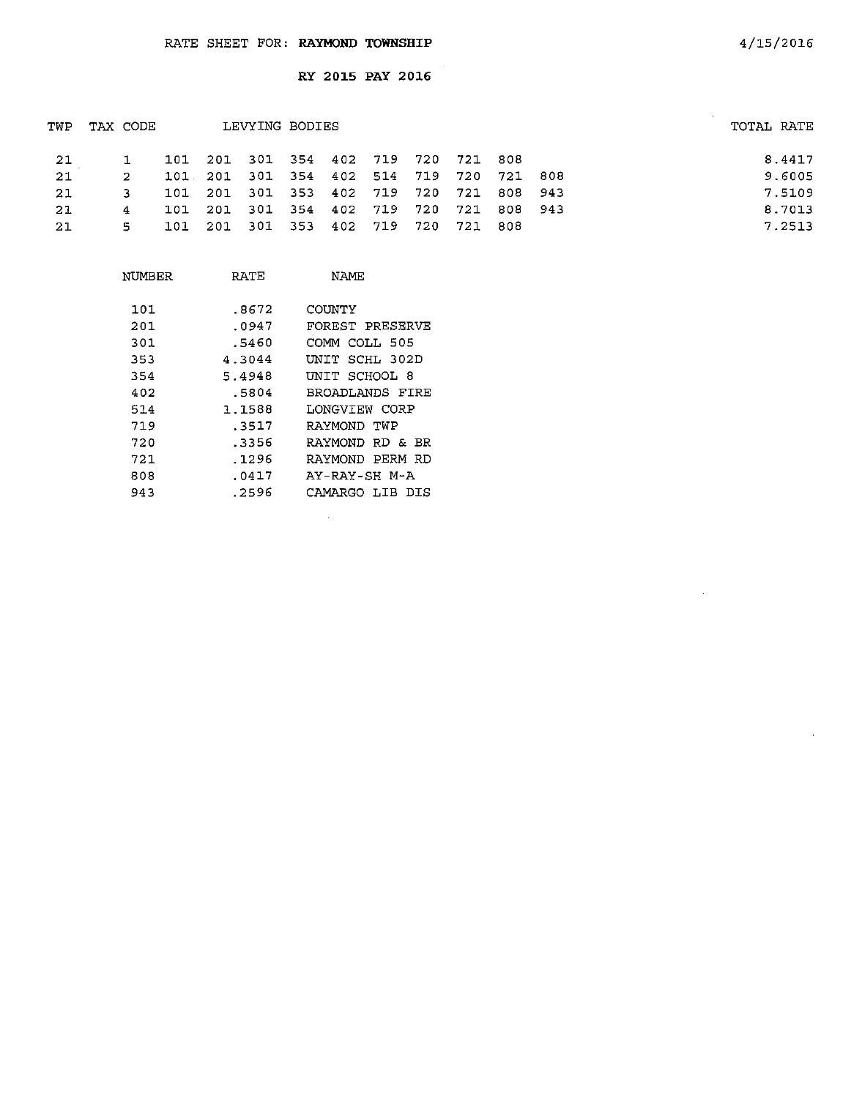|    |     |          |  |                |  |                                                                            | TOTAL RATE                                                                                                                |
|----|-----|----------|--|----------------|--|----------------------------------------------------------------------------|---------------------------------------------------------------------------------------------------------------------------|
|    |     |          |  |                |  |                                                                            | 8.4417                                                                                                                    |
| 2. |     |          |  |                |  |                                                                            | 9.6005                                                                                                                    |
| з. |     |          |  |                |  |                                                                            | 7.5109                                                                                                                    |
| 4  | 101 |          |  |                |  |                                                                            | 8.7013                                                                                                                    |
| 5. |     |          |  |                |  |                                                                            | 7.2513                                                                                                                    |
|    |     | TAX CODE |  | LEVYING BODIES |  | 101 201 301 354 402 719 720 721 808<br>101 201 301 353 402 719 720 721 808 | 101 201 301 354 402 514 719 720 721 808<br>101 201 301 353 402 719 720 721 808 943<br>201 301 354 402 719 720 721 808 943 |

| NUMBER | RATE   | NAME            |
|--------|--------|-----------------|
| 101    | .8672  | COUNTY          |
| 201    | .0947  | FOREST PRESERVE |
| 301    | .5460  | COMM COLL 505   |
| 353    | 4.3044 | UNIT SCHL 302D  |
| 354    | 5.4948 | UNIT SCHOOL 8   |
| 402    | .5804  | BROADLANDS FIRE |
| 514    | 1.1588 | LONGVIEW CORP   |
| 719    | .3517  | RAYMOND TWP     |
| 720    | .3356  | RAYMOND RD & BR |
| 721    | .1296  | RAYMOND PERM RD |
| 808    | .0417  | AY-RAY-SH M-A   |
| 943    | .2596  | CAMARGO LIB DIS |
|        |        |                 |

 $\hat{\boldsymbol{\beta}}$ 

 $\bar{z}$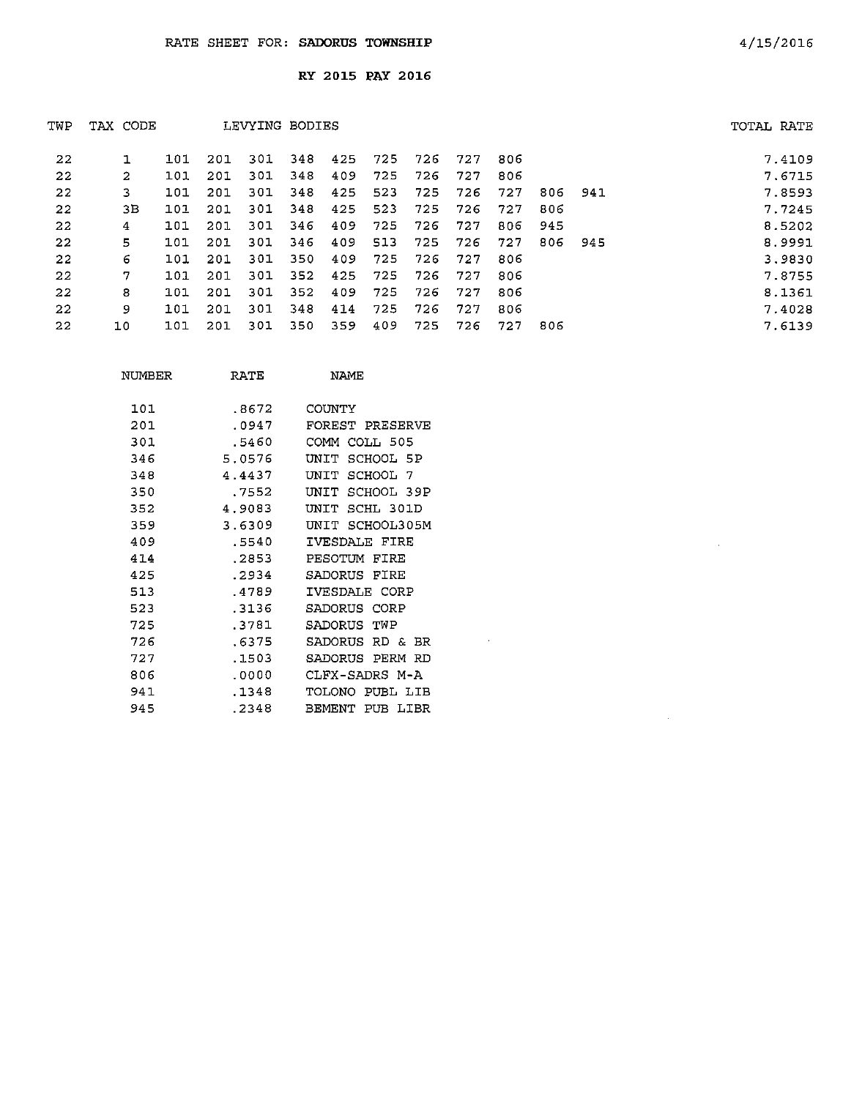| TWP | TAX CODE |     |     | LEVYING BODIES |     |     |     |     |     |     |      |     | TOTAL RATE |
|-----|----------|-----|-----|----------------|-----|-----|-----|-----|-----|-----|------|-----|------------|
| 22  |          | 101 | 201 | 301            | 348 | 425 | 725 | 726 | 727 | 806 |      |     | 7.4109     |
| 22  | 2        | 101 | 201 | 301            | 348 | 409 | 725 | 726 | 727 | 806 |      |     | 7.6715     |
| 22  | 3        | 101 | 201 | 301            | 348 | 425 | 523 | 725 | 726 | 727 | 806  | 941 | 7.8593     |
| 22  | 3В       | 101 | 201 | 301            | 348 | 425 | 523 | 725 | 726 | 727 | 806  |     | 7.7245     |
| 22  | 4        | 101 | 201 | 301            | 346 | 409 | 725 | 726 | 727 | 806 | -945 |     | 8.5202     |
| 22  | 5.       | 101 | 201 | 301            | 346 | 409 | 513 | 725 | 726 | 727 | 806  | 945 | 8.9991     |
| 22  | 6        | 101 | 201 | -301           | 350 | 409 | 725 | 726 | 727 | 806 |      |     | 3.9830     |
| 22  | 7        | 101 | 201 | 301            | 352 | 425 | 725 | 726 | 727 | 806 |      |     | 7.8755     |
| 22  | 8        | 101 | 201 | -301           | 352 | 409 | 725 | 726 | 727 | 806 |      |     | 8.1361     |
| 22  | 9        | 101 | 201 | 301            | 348 | 414 | 725 | 726 | 727 | 806 |      |     | 7.4028     |
| 22  | 10       | 101 | 201 | 301            | 350 | 359 | 409 | 725 | 726 | 727 | 806  |     | 7.6139     |

 $\sim$   $\mu$ 

| 101 | .8672  | COUNTY                 |
|-----|--------|------------------------|
| 201 | .0947  | FOREST PRESERVE        |
| 301 | .5460  | COMM<br>COLL 505       |
| 346 | 5.0576 | SCHOOL 5P<br>UNIT      |
| 348 | 4.4437 | SCHOOL 7<br>דתתז       |
| 350 | . 7552 | SCHOOL 39P<br>INTT     |
| 352 | 4.9083 | ידאתז<br>SCHL 301D     |
| 359 | 3.6309 | SCHOOL305M<br>דאתז     |
| 409 | .5540  | IVESDALE FIRE          |
| 414 | . 2853 | PESOTUM<br>FIRE        |
| 425 | .2934  | SADORUS<br>FTRE        |
| 513 | 4789   | IVESDALE CORP          |
| 523 | .3136  | SADORUS<br>CORP        |
| 725 | .3781  | SADORIJS<br>TWP        |
| 726 | .6375  | SADORUS RD & BR        |
| 727 | . 1503 | PERM RD<br>SADORUS     |
| 806 | .0000  | CLFX-SADRS M-A         |
| 941 | . 1348 | TOLONO.<br>PURL I TR   |
| 945 | - 2348 | BEMENT<br>PUB.<br>LIBR |

NUMBER RATE NAME

 $\sim$ 

 $\hat{\mathcal{L}}$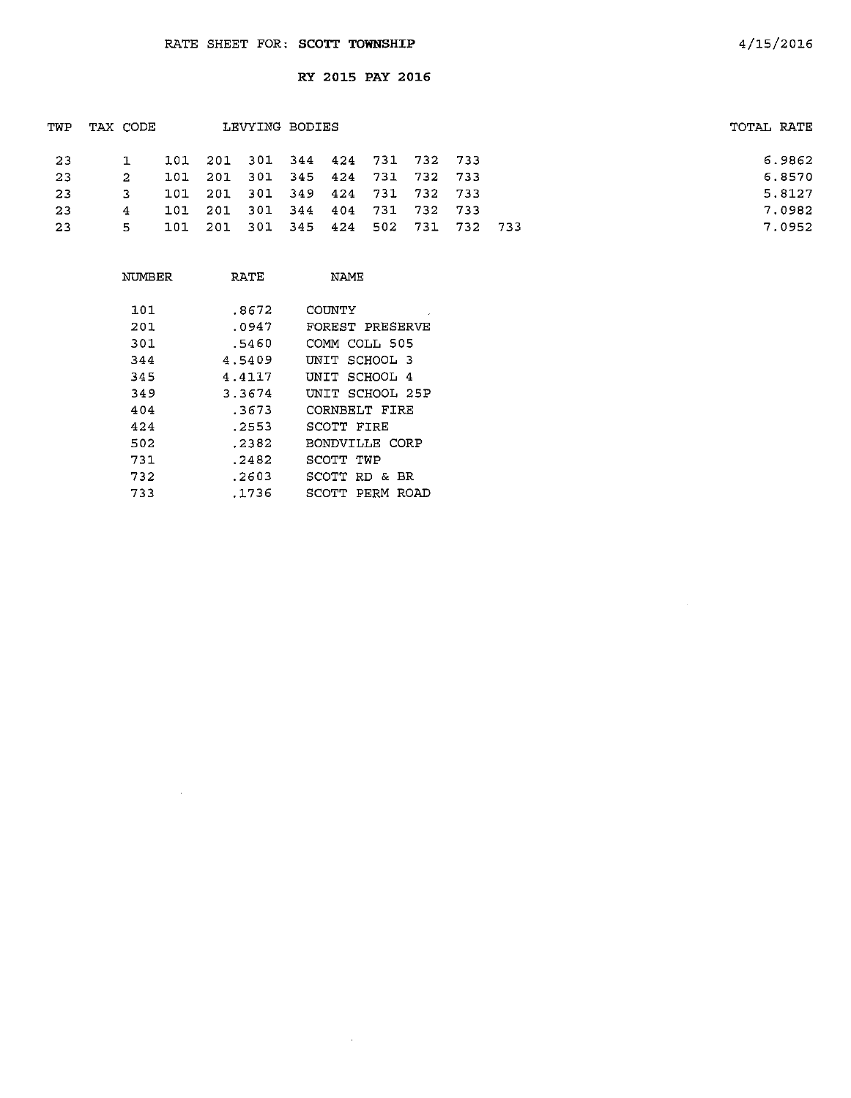|    |      |                 |       |       |                |  |                                                                                                              | TOTAL RATE                          |
|----|------|-----------------|-------|-------|----------------|--|--------------------------------------------------------------------------------------------------------------|-------------------------------------|
|    |      |                 |       |       |                |  |                                                                                                              | 6.9862                              |
| 2. | 101  | -201            |       |       |                |  |                                                                                                              | 6.8570                              |
| 3. | 101  |                 |       |       |                |  |                                                                                                              | 5.8127                              |
| 4  | 101. |                 |       |       |                |  |                                                                                                              | 7.0982                              |
| 5. |      |                 |       |       |                |  |                                                                                                              | 7.0952                              |
|    |      | TAX CODE<br>101 | - 201 | - 301 | LEVYING BODIES |  | 201 301 344 424 731 732 733<br>345 424 731 732 733<br>201 301 349 424 731 732 733<br>301 344 404 731 732 733 | 101 201 301 345 424 502 731 732 733 |

| NUMBER | RATE   | NAMF                  |
|--------|--------|-----------------------|
| 101    | .8672  | COINTY                |
| 201    | .0947  | FOREST PRESERVE       |
| 301    | .5460  | COMM COLL 505         |
| 344    | 4.5409 | UNIT SCHOOL 3         |
| 345    | 4.4117 | INIT SCHOOL 4         |
| 349    | 3.3674 | UNIT SCHOOL 25P       |
| 404    | .3673  | CORNBELT FIRE         |
| 424    | . 2553 | SCOTT FIRE            |
| 502    | .2382  | BONDVILLE CORP        |
| 731    | .2482  | SCOTT TWP             |
| 732    | .2603  | SCOTT RD & BR         |
| 733    | .1736  | PERM<br>SCOTT<br>ROAD |

 $\mathcal{A}^{\mathcal{A}}$ 

 $\sim 10^6$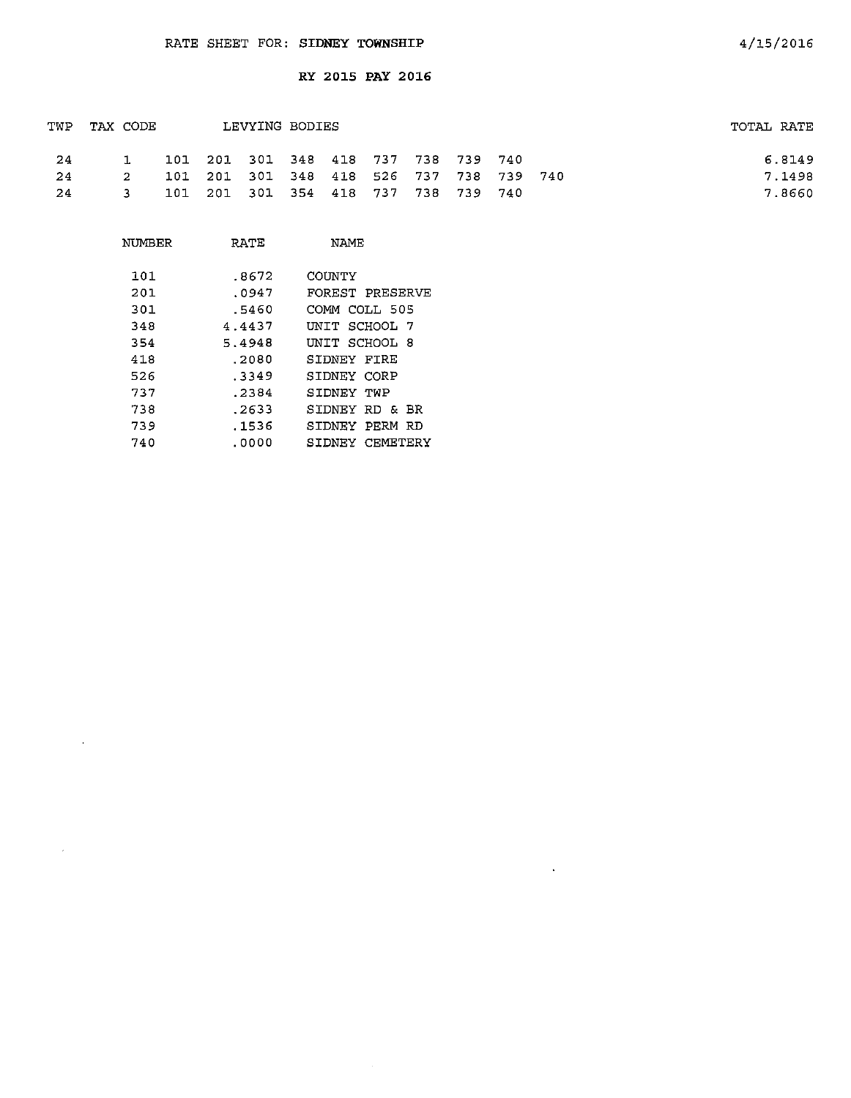|      | TWP TAX CODE |  | LEVYING BODIES                          |  |  |  | TOTAL RATE |
|------|--------------|--|-----------------------------------------|--|--|--|------------|
| - 24 |              |  | 101 201 301 348 418 737 738 739 740     |  |  |  | 6.8149     |
| - 24 | $2^{\circ}$  |  | 101 201 301 348 418 526 737 738 739 740 |  |  |  | 7.1498     |
| 24   | $\mathbf{3}$ |  | 101 201 301 354 418 737 738 739 740     |  |  |  | 7.8660     |

 $\mathbf{k}^{\pm}$ 

| NUMBER | RATE   | <b>NAME</b>       |
|--------|--------|-------------------|
| 101    | .8672  | COINTY            |
| 201    | .0947  | FOREST PRESERVE   |
| 301    | .5460  | COMM COLL 505     |
| 348    | 4.4437 | UNIT SCHOOL 7     |
| 354    | 5.4948 | UNIT SCHOOL 8     |
| 418    | .2080  | SIDNEY FIRE       |
| 526    | . 3349 | SIDNEY CORP       |
| 737    | .2384  | SIDNEY TWP        |
| 738    | .2633  | SIDNEY RD & BR    |
| 739    | . 1536 | SIDNEY PERM<br>RD |
| 740    | .0000  | SIDNEY CEMETERY   |

 $\sim$   $\sim$ 

 $\sim 10^{-1}$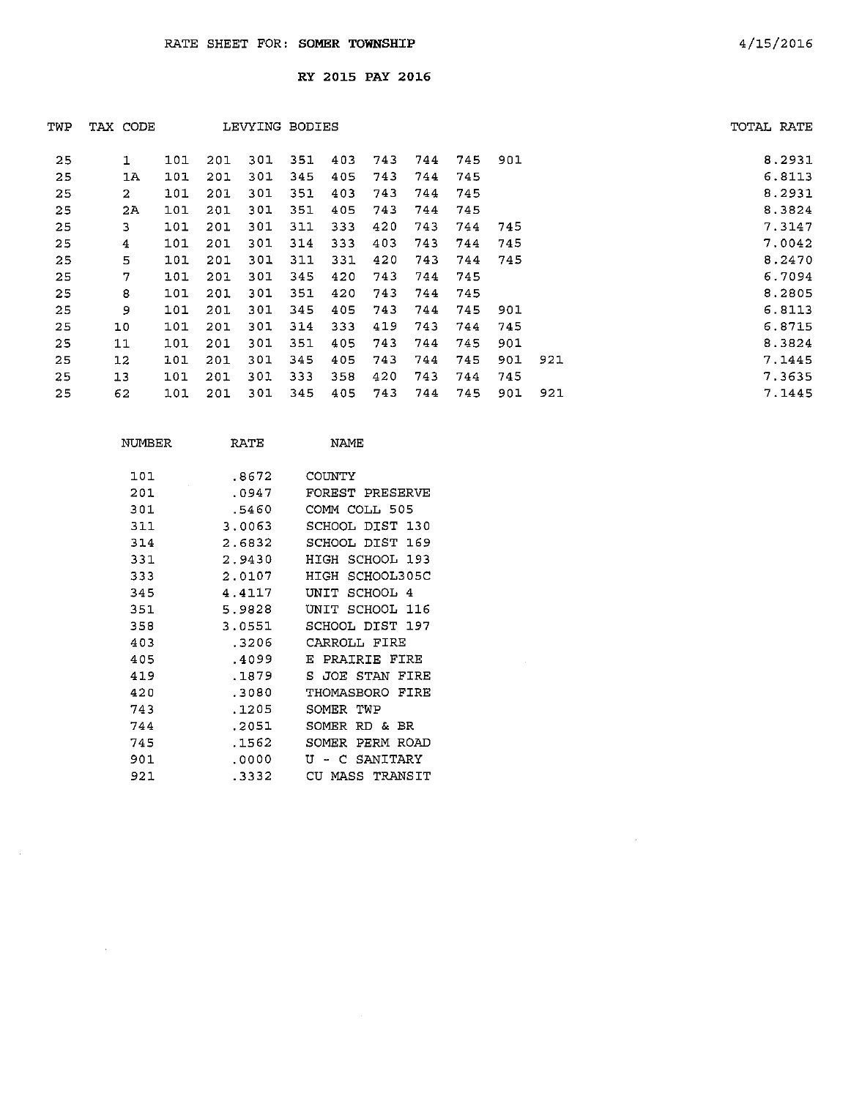| TWP | TAX CODE       |     |     |     | LEVYING BODIES |     |     |     |     |     |     | TOTAL RATE |
|-----|----------------|-----|-----|-----|----------------|-----|-----|-----|-----|-----|-----|------------|
| 25  | 1              | 101 | 201 | 301 | 351            | 403 | 743 | 744 | 745 | 901 |     | 8.2931     |
| 25  | 1A             | 101 | 201 | 301 | 345            | 405 | 743 | 744 | 745 |     |     | 6.8113     |
| 25  | $\overline{a}$ | 101 | 201 | 301 | 351            | 403 | 743 | 744 | 745 |     |     | 8.2931     |
| 25  | 2Ά             | 101 | 201 | 301 | 351            | 405 | 743 | 744 | 745 |     |     | 8.3824     |
| 25  | 3              | 101 | 201 | 301 | 311            | 333 | 420 | 743 | 744 | 745 |     | 7.3147     |
| 25  | 4              | 101 | 201 | 301 | 314            | 333 | 403 | 743 | 744 | 745 |     | 7.0042     |
| 25  | 5              | 101 | 201 | 301 | 311            | 331 | 420 | 743 | 744 | 745 |     | 8.2470     |
| 25  | 7              | 101 | 201 | 301 | 345            | 420 | 743 | 744 | 745 |     |     | 6.7094     |
| 25  | 8              | 101 | 201 | 301 | 351            | 420 | 743 | 744 | 745 |     |     | 8.2805     |
| 25  | 9              | 101 | 201 | 301 | 345            | 405 | 743 | 744 | 745 | 901 |     | 6.8113     |
| 25  | 10             | 101 | 201 | 301 | 314            | 333 | 419 | 743 | 744 | 745 |     | 6.8715     |
| 25  | 11             | 101 | 201 | 301 | 351            | 405 | 743 | 744 | 745 | 901 |     | 8.3824     |
| 25  | 12             | 101 | 201 | 301 | 345            | 405 | 743 | 744 | 745 | 901 | 921 | 7.1445     |
| 25  | 13             | 101 | 201 | 301 | 333            | 358 | 420 | 743 | 744 | 745 |     | 7.3635     |
| 25  | 62             | 101 | 201 | 301 | 345            | 405 | 743 | 744 | 745 | 901 | 921 | 7.1445     |

| NUMBER | RATE   | NAME                         |
|--------|--------|------------------------------|
| 101    | .8672  | COINTY                       |
| 201    | . 0947 | FOREST PRESERVE              |
| 301    | .5460  | COMM COLL 505                |
| 311    | 3.0063 | SCHOOL DIST 130              |
| 314    | 2.6832 | SCHOOL DIST<br>169           |
| 331    | 2.9430 | HIGH<br>SCHOOL 193           |
| 333    | 2.0107 | HIGH<br>SCHOOL305C           |
| 345    | 4.4117 | SCHOOL 4<br>UNIT             |
| 351    | 5.9828 | דדותז<br>SCHOOL<br>-116      |
| 358    | 3.0551 | SCHOOL DIST 197              |
| 403    | .3206  | CARROLI FIRE                 |
| 405    | .4099  | PRAIRIE FIRE<br>Е.           |
| 419    | .1879  | s<br>JOE STAN<br>FIRE        |
| 420    | .3080  | FTRE<br>THOMASRORO           |
| 743    | . 1205 | SOMER<br>TWP                 |
| 744    | .2051  | SOMER<br>RD & BR             |
| 745    | .1562  | <b>ROAD</b><br>SOMER<br>PERM |
| 901    | .0000  | T٢<br>SANITARY<br>C<br>÷     |
| 921    | .3332  | CU MASS TRANSIT              |

 $\sim 10^{-1}$ 

 $\sim 10^7$ 

 $\sim 10^7$ 

 $\sim 10^7$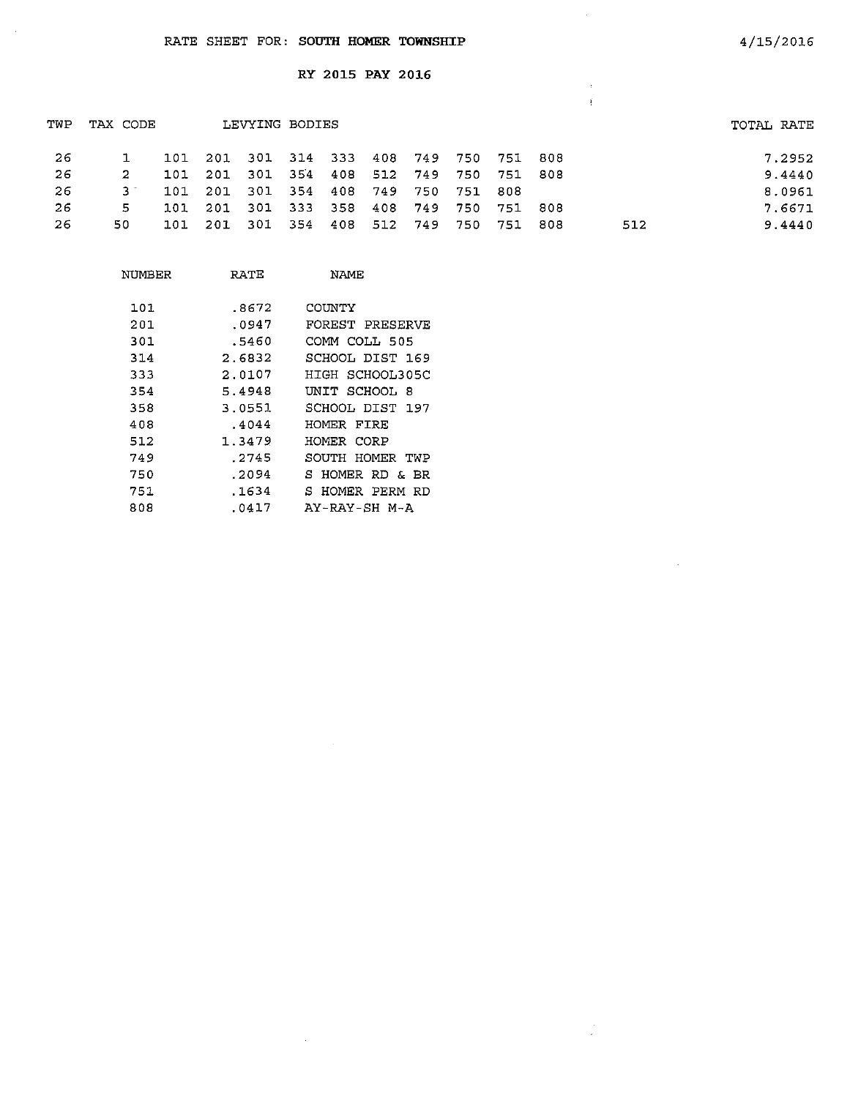$\sim$   $\sim$ 

## RY 2015 PAY 2016

| TWP | TAX CODE |     |                                     | LEVYING BODIES |     |         |                             |     |     |             |     |     | TOTAL RATE |
|-----|----------|-----|-------------------------------------|----------------|-----|---------|-----------------------------|-----|-----|-------------|-----|-----|------------|
| -26 |          | 101 | 201 301 314 333 408 749 750 751 808 |                |     |         |                             |     |     |             |     |     | 7.2952     |
| -26 | 2        | 101 | 201                                 |                |     |         | 301 354 408 512 749         |     |     | 750 751 808 |     |     | 9.4440     |
| -26 | 3.1      | 101 | 201                                 |                |     |         | 301 354 408 749 750 751 808 |     |     |             |     |     | 8.0961     |
| 26  | 5        | 101 | -201                                | 301 333        |     | 358     | 408                         | 749 | 750 | 751         | 808 |     | 7.6671     |
| -26 | 50.      | 101 | -201                                | - 301          | 354 | 408 512 |                             | 749 | 750 | 751         | 808 | 512 | 9.4440     |

 $\hat{\boldsymbol{\beta}}$ 

 $\bar{z}$ j

 $\bar{z}$ 

 $\frac{1}{2}$ 

| NUMBER | RATE   | NAME            |
|--------|--------|-----------------|
| 101    | .8672  | COUNTY          |
| 201    | .0947  | FOREST PRESERVE |
| 301    | .5460  | COMM COLL 505   |
| 314    | 2.6832 | SCHOOL DIST 169 |
| 333    | 2.0107 | HIGH SCHOOL305C |
| 354    | 5.4948 | UNIT SCHOOL 8   |
| 358    | 3.0551 | SCHOOL DIST 197 |
| 408    | .4044  | HOMER FIRE      |
| 512    | 1.3479 | HOMER CORP      |
| 749    | .2745  | SOUTH HOMER TWP |
| 750    | .2094  | S HOMER RD & BR |
| 751    | .1634  | S HOMER PERM RD |
| 808    | .0417  | AY-RAY-SH M-A   |

 $\sim$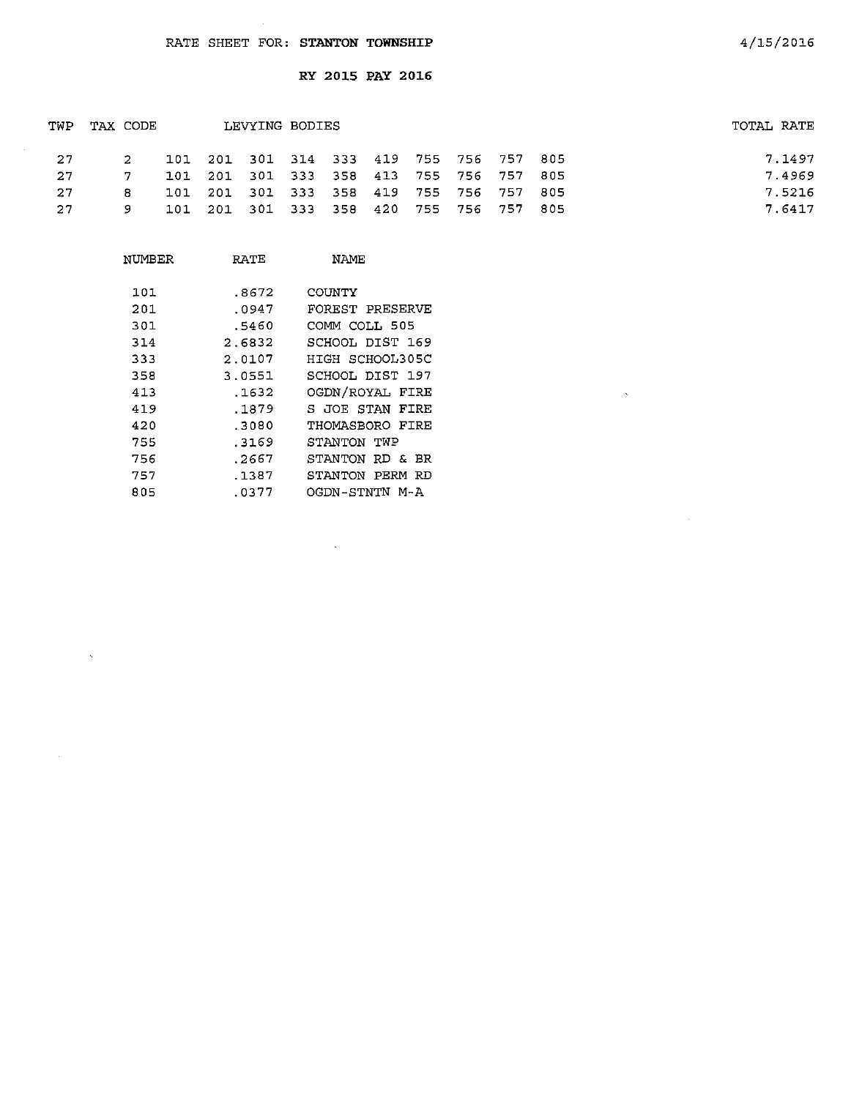$\sim$   $\sim$ 

 $\hat{\mathbf{x}}$ 

 $\sim 10^{-1}$ 

RY 2015 PAY 2016

| TWP | TAX CODE |  | LEVYING BODIES                          |  |  |  | TOTAL RATE |
|-----|----------|--|-----------------------------------------|--|--|--|------------|
| 27  | 2        |  | 101 201 301 314 333 419 755 756 757 805 |  |  |  | 7.1497     |
| -27 |          |  | 101 201 301 333 358 413 755 756 757 805 |  |  |  | 7.4969     |
| -27 | 8.       |  | 101 201 301 333 358 419 755 756 757 805 |  |  |  | 7.5216     |
| 27  | 9        |  | 101 201 301 333 358 420 755 756 757 805 |  |  |  | 7.6417     |

| NUMBER | RATE   | NAMF            |
|--------|--------|-----------------|
| 101    | .8672  | COUNTY          |
| 201    | .0947  | FOREST PRESERVE |
| 301    | .5460  | COMM COLL 505   |
| 314    | 2.6832 | SCHOOL DIST 169 |
| 333    | 2.0107 | HIGH SCHOOL305C |
| 358    | 3.0551 | SCHOOL DIST 197 |
| 413    | .1632  | OGDN/ROYAL FIRE |
| 419    | .1879  | S JOE STAN FIRE |
| 420    | .3080  | THOMASBORO FIRE |
| 755    | .3169  | STANTON TWP     |
| 756    | .2667  | STANTON RD & BR |
| 757    | .1387  | STANTON PERM RD |
| 805    | .0377  | OGDN-STNTN M-A  |

 $\bar{z}$ 

 $\bar{\mathbf{x}}$ 

 $\mathcal{A}^{\mathcal{A}}$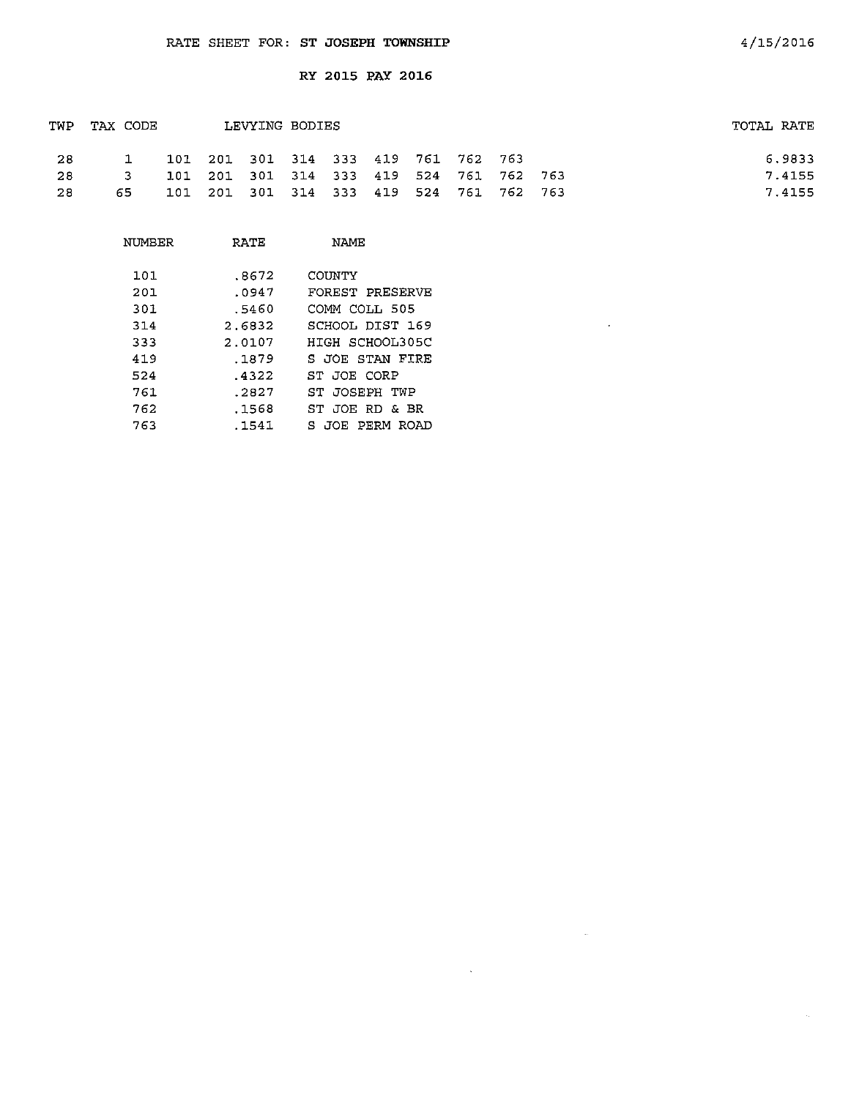| TWP | TAX CODE |                                         | LEVYING BODIES |  |  |  | TOTAL RATE |
|-----|----------|-----------------------------------------|----------------|--|--|--|------------|
| -28 |          | 101 201 301 314 333 419 761 762 763     |                |  |  |  | 6.9833     |
| -28 | 3        | 101 201 301 314 333 419 524 761 762 763 |                |  |  |  | 7.4155     |
| -28 | 65.      | 101 201 301 314 333 419 524 761 762 763 |                |  |  |  | 7.4155     |

 $\sim$   $\sim$ 

 $\sim$   $\omega$ 

 $\sim 100$  km s  $^{-1}$ 

| NUMBER | RATE   | NAME.               |
|--------|--------|---------------------|
| 101    | .8672  | COINTY              |
| 201    | .0947  | FOREST PRESERVE     |
| 301    | .5460  | COMM COLL 505       |
| 314    | 2.6832 | SCHOOL DIST 169     |
| 333    | 2.0107 | HIGH SCHOOL305C     |
| 419    | .1879  | S JOE STAN FIRE     |
| 524    | .4322  | ST JOE CORP         |
| 761    | .2827  | ST JOSEPH TWP       |
| 762    | .1568  | ST JOE RD & BR      |
| 763    | .1541  | JOE PERM ROAD<br>Ξ. |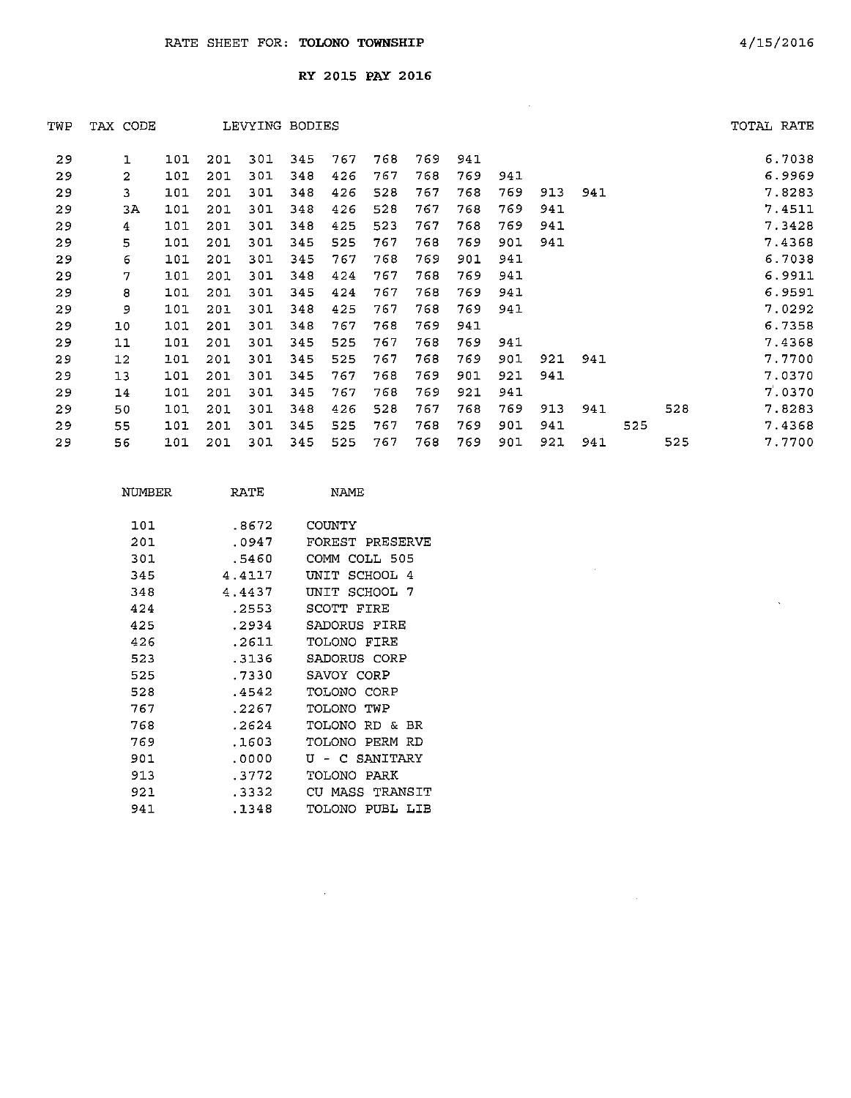| TWP | TAX CODE       |     |     | LEVYING BODIES |     |     |     |     |     |     |     |     |     |     | TOTAL RATE |
|-----|----------------|-----|-----|----------------|-----|-----|-----|-----|-----|-----|-----|-----|-----|-----|------------|
| 29  | ı              | 101 | 201 | 301            | 345 | 767 | 768 | 769 | 941 |     |     |     |     |     | 6.7038     |
| 29  | $\overline{2}$ | 101 | 201 | 301            | 348 | 426 | 767 | 768 | 769 | 941 |     |     |     |     | 6.9969     |
| 29  | 3              | 101 | 201 | 301            | 348 | 426 | 528 | 767 | 768 | 769 | 913 | 941 |     |     | 7.8283     |
| 29  | ЗΑ             | 101 | 201 | 301            | 348 | 426 | 528 | 767 | 768 | 769 | 941 |     |     |     | 7.4511     |
| 29  | 4              | 101 | 201 | 301            | 348 | 425 | 523 | 767 | 768 | 769 | 941 |     |     |     | 7.3428     |
| 29  | 5              | 101 | 201 | 301            | 345 | 525 | 767 | 768 | 769 | 901 | 941 |     |     |     | 7.4368     |
| 29  | 6              | 101 | 201 | 301            | 345 | 767 | 768 | 769 | 901 | 941 |     |     |     |     | 6.7038     |
| 29  | 7              | 101 | 201 | 301            | 348 | 424 | 767 | 768 | 769 | 941 |     |     |     |     | 6.9911     |
| 29  | 8              | 101 | 201 | 301            | 345 | 424 | 767 | 768 | 769 | 941 |     |     |     |     | 6.9591     |
| 29  | 9              | 101 | 201 | 301            | 348 | 425 | 767 | 768 | 769 | 941 |     |     |     |     | 7.0292     |
| 29  | 10             | 101 | 201 | 301            | 348 | 767 | 768 | 769 | 941 |     |     |     |     |     | 6.7358     |
| 29  | 11             | 101 | 201 | 301            | 345 | 525 | 767 | 768 | 769 | 941 |     |     |     |     | 7.4368     |
| 29  | 12             | 101 | 201 | 301            | 345 | 525 | 767 | 768 | 769 | 901 | 921 | 941 |     |     | 7.7700     |
| 29  | 13             | 101 | 201 | 301            | 345 | 767 | 768 | 769 | 901 | 921 | 941 |     |     |     | 7.0370     |
| 29  | 14             | 101 | 201 | 301            | 345 | 767 | 768 | 769 | 921 | 941 |     |     |     |     | 7.0370     |
| 29  | 50             | 101 | 201 | 301            | 348 | 426 | 528 | 767 | 768 | 769 | 913 | 941 |     | 528 | 7.8283     |
| 29  | 55             | 101 | 201 | 301            | 345 | 525 | 767 | 768 | 769 | 901 | 941 |     | 525 |     | 7.4368     |
| 29  | 56             | 101 | 201 | 301            | 345 | 525 | 767 | 768 | 769 | 901 | 921 | 941 |     | 525 | 7.7700     |
|     |                |     |     |                |     |     |     |     |     |     |     |     |     |     |            |

 $\sim 10^{11}$ 

 $\sim 0.01$ 

 $\mathcal{L}^{\text{max}}_{\text{max}}$ 

| NTIMBER | RATE   | NAME.             |
|---------|--------|-------------------|
| 101     | .8672  | COUNTY            |
| 201     | .0947  | FOREST PRESERVE   |
| 301     | .5460  | COLL 505<br>СОММ  |
| 345     | 4.4117 | SCHOOL 4<br>ידורו |
| 348     | 4.4437 | UNIT SCHOOL 7     |
| 424     | . 2553 | SCOTT FIRE        |
| 425     | .2934  | SADORUS FIRE      |
| 426     | .2611  | TOLONO FIRE       |
| 523     | .3136  | SADORUS CORP      |
| 525     | .7330  | SAVOY CORP        |
| 528     | .4542  | TOLONO CORP       |
| 767     | .2267  | TOLONO TWP        |
| 768     | .2624  | TOLONO RD &<br>BR |
| 769     | .1603  | TOLONO PERM RD    |
| 901     | .0000  | U - C SANITARY    |
| 913     | .3772  | TOLONO PARK       |
| 921     | . 3332 | CU MASS TRANSIT   |
| 941     | .1348  | TOLONO PUBL LIB   |

 $\mathcal{L}^{\text{max}}_{\text{max}}$ 

 $\sim 40\%$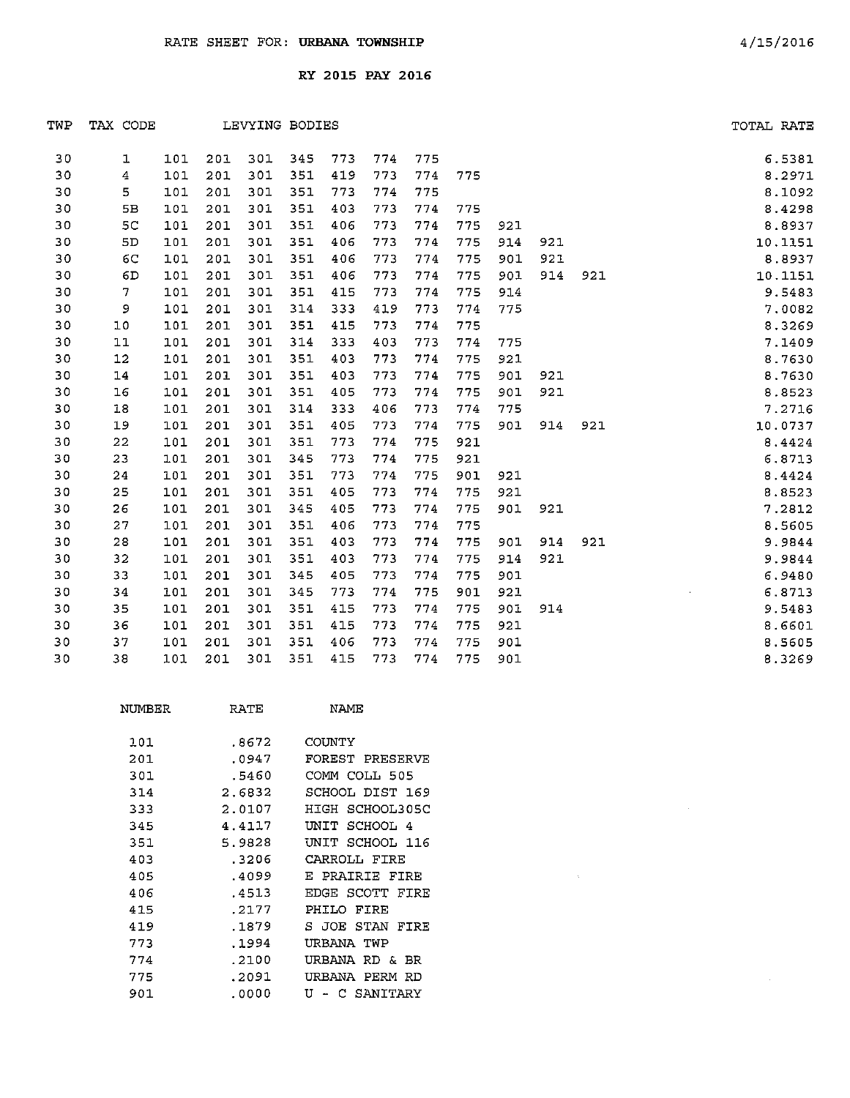| TWP | TAX CODE                |     |     |     | LEVYING BODIES |     |     |     |     |     |     |     | TOTAL RATE |
|-----|-------------------------|-----|-----|-----|----------------|-----|-----|-----|-----|-----|-----|-----|------------|
| 30  | 1                       | 101 | 201 | 301 | 345            | 773 | 774 | 775 |     |     |     |     | 6.5381     |
| 30  | $\overline{\mathbf{4}}$ | 101 | 201 | 301 | 351            | 419 | 773 | 774 | 775 |     |     |     | 8.2971     |
| 30  | 5                       | 101 | 201 | 301 | 351            | 773 | 774 | 775 |     |     |     |     | 8.1092     |
| 30  | 5 <b>B</b>              | 101 | 201 | 301 | 351            | 403 | 773 | 774 | 775 |     |     |     | 8.4298     |
| 30  | 5C                      | 101 | 201 | 301 | 351            | 406 | 773 | 774 | 775 | 921 |     |     | 8.8937     |
| 30  | 5D                      | 101 | 201 | 301 | 351            | 406 | 773 | 774 | 775 | 914 | 921 |     | 10.1151    |
| 30  | 6C                      | 101 | 201 | 301 | 351            | 406 | 773 | 774 | 775 | 901 | 921 |     | 8.8937     |
| 30  | 6D                      | 101 | 201 | 301 | 351            | 406 | 773 | 774 | 775 | 901 | 914 | 921 | 10.1151    |
| 30  | $\overline{7}$          | 101 | 201 | 301 | 351            | 415 | 773 | 774 | 775 | 914 |     |     | 9.5483     |
| 30  | 9                       | 101 | 201 | 301 | 314            | 333 | 419 | 773 | 774 | 775 |     |     | 7.0082     |
| 30  | 10                      | 101 | 201 | 301 | 351            | 415 | 773 | 774 | 775 |     |     |     | 8.3269     |
| 30  | $11\,$                  | 101 | 201 | 301 | 314            | 333 | 403 | 773 | 774 | 775 |     |     | 7.1409     |
| 30  | 12                      | 101 | 201 | 301 | 351            | 403 | 773 | 774 | 775 | 921 |     |     | 8.7630     |
| 30  | 14                      | 101 | 201 | 301 | 351            | 403 | 773 | 774 | 775 | 901 | 921 |     | 8.7630     |
| 30  | 16                      | 101 | 201 | 301 | 351            | 405 | 773 | 774 | 775 | 901 | 921 |     | 8.8523     |
| 30  | 18                      | 101 | 201 | 301 | 314            | 333 | 406 | 773 | 774 | 775 |     |     | 7.2716     |
| 30  | 19                      | 101 | 201 | 301 | 351            | 405 | 773 | 774 | 775 | 901 | 914 | 921 | 10.0737    |
| 30  | 22                      | 101 | 201 | 301 | 351            | 773 | 774 | 775 | 921 |     |     |     | 8.4424     |
| 30  | 23                      | 101 | 201 | 301 | 345            | 773 | 774 | 775 | 921 |     |     |     | 6.8713     |
| 30  | 24                      | 101 | 201 | 301 | 351            | 773 | 774 | 775 | 901 | 921 |     |     | 8.4424     |
| 30  | 25                      | 101 | 201 | 301 | 351            | 405 | 773 | 774 | 775 | 921 |     |     | 8.8523     |
| 30  | 26                      | 101 | 201 | 301 | 345            | 405 | 773 | 774 | 775 | 901 | 921 |     | 7.2812     |
| 30  | 27                      | 101 | 201 | 301 | 351            | 406 | 773 | 774 | 775 |     |     |     | 8.5605     |
| 30  | 28                      | 101 | 201 | 301 | 351            | 403 | 773 | 774 | 775 | 901 | 914 | 921 | 9.9844     |
| 30  | 32                      | 101 | 201 | 301 | 351            | 403 | 773 | 774 | 775 | 914 | 921 |     | 9.9844     |
| 30  | 33                      | 101 | 201 | 301 | 345            | 405 | 773 | 774 | 775 | 901 |     |     | 6.9480     |
| 30  | 34                      | 101 | 201 | 301 | 345            | 773 | 774 | 775 | 901 | 921 |     |     | 6.8713     |
| 30  | 35                      | 101 | 201 | 301 | 351            | 415 | 773 | 774 | 775 | 901 | 914 |     | 9.5483     |
| 30  | 36                      | 101 | 201 | 301 | 351            | 415 | 773 | 774 | 775 | 921 |     |     | 8.6601     |
| 30  | 37                      | 101 | 201 | 301 | 351            | 406 | 773 | 774 | 775 | 901 |     |     | 8.5605     |
| 30  | 38                      | 101 | 201 | 301 | 351            | 415 | 773 | 774 | 775 | 901 |     |     | 8.3269     |

| NUMBER | RATE   | NAME                 |
|--------|--------|----------------------|
| 101    | .8672  | COUNTY               |
| 201    | .0947  | FOREST PRESERVE      |
| 301    | .5460  | COMM COLL 505        |
| 314    | 2.6832 | SCHOOL DIST 169      |
| 333    | 2.0107 | HIGH SCHOOL305C      |
| 345    | 4.4117 | SCHOOL 4<br>UNIT     |
| 351    | 5.9828 | UNIT SCHOOL 116      |
| 403    | .3206  | CARROLL FIRE         |
| 405    | .4099  | E PRAIRIE FIRE       |
| 406    | .4513  | EDGE SCOTT<br>FIRE   |
| 415    | .2177  | PHILO FIRE           |
| 419    | .1879  | S JOE STAN<br>FIRE   |
| 773    | .1994  | URBANA TWP           |
| 774    | .2100  | URBANA RD & BR       |
| 775    | .2091  | PERM<br>URBANA<br>RD |
| 901    | .0000  | ŢŢ<br>C SANITARY     |

 $\sim 10^{-1}$ 

 $\sim$   $\alpha$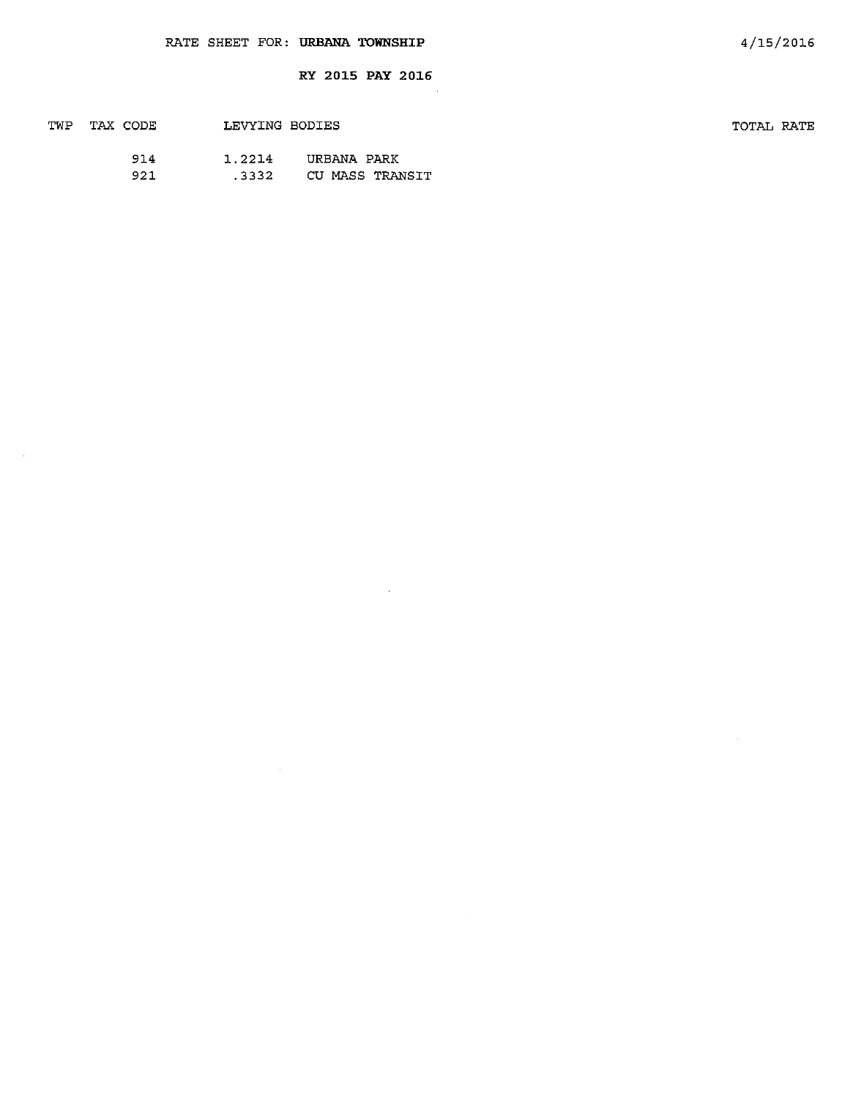J.

| TWP TAX CODE |     | LEVYING BODIES |                 |
|--------------|-----|----------------|-----------------|
|              | 914 | 1.2214         | URBANA PARK     |
|              | 921 | .3332          | CU MASS TRANSIT |

 $\sim$   $\alpha$ 

TOTAL RATE

 $\bar{z}$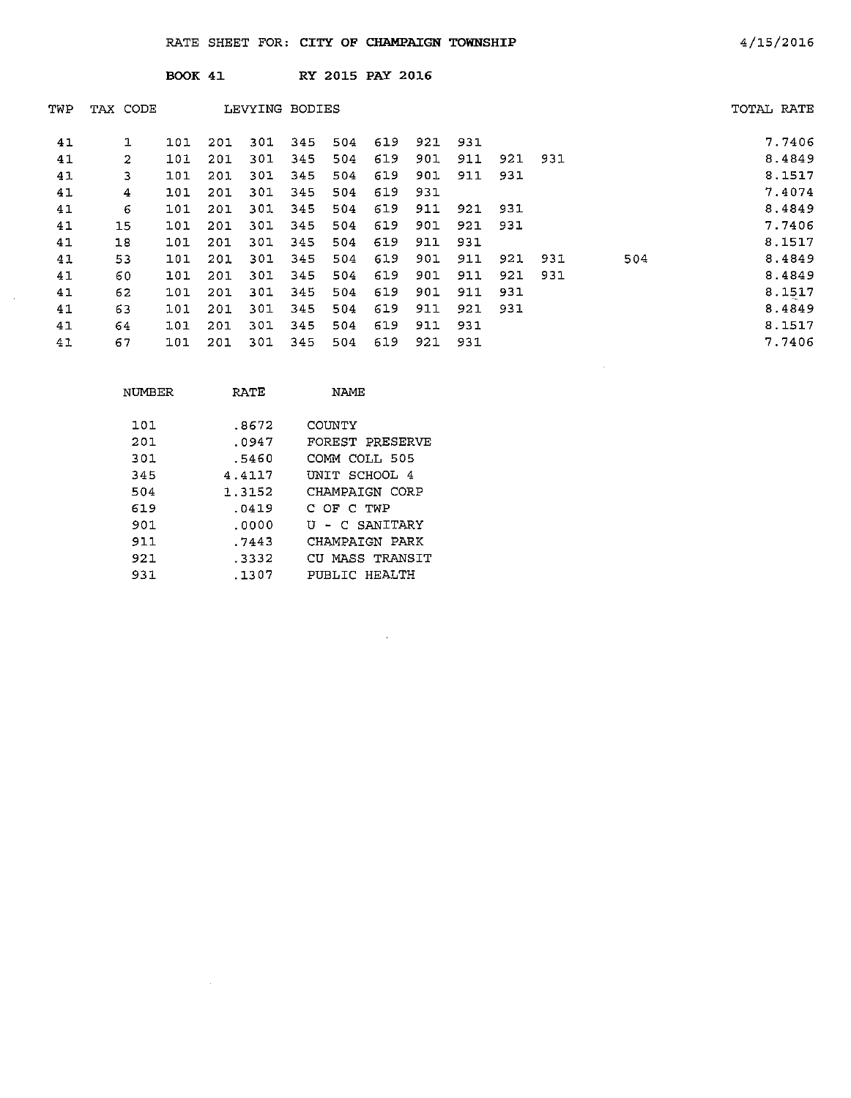|     |                | <b>BOOK 41</b> |     |                |     |     | RY 2015 PAY 2016 |     |     |     |     |     |            |        |
|-----|----------------|----------------|-----|----------------|-----|-----|------------------|-----|-----|-----|-----|-----|------------|--------|
| TWP | TAX CODE       |                |     | LEVYING BODIES |     |     |                  |     |     |     |     |     | TOTAL RATE |        |
| 41  | 1              | 101            | 201 | 301            | 345 | 504 | 619              | 921 | 931 |     |     |     |            | 7.7406 |
| 41  | $\overline{c}$ | 101            | 201 | 301            | 345 | 504 | 619              | 901 | 911 | 921 | 931 |     |            | 8.4849 |
| 41  | 3              | 101            | 201 | 301            | 345 | 504 | 619              | 901 | 911 | 931 |     |     |            | 8.1517 |
| 41  | 4              | 101            | 201 | 301            | 345 | 504 | 619              | 931 |     |     |     |     |            | 7.4074 |
| 41  | 6              | 101            | 201 | 301            | 345 | 504 | 619              | 911 | 921 | 931 |     |     |            | 8,4849 |
| 41  | 15             | 101            | 201 | 301            | 345 | 504 | 619              | 901 | 921 | 931 |     |     |            | 7.7406 |
| 41  | 18             | 101            | 201 | 301            | 345 | 504 | 619              | 911 | 931 |     |     |     |            | 8.1517 |
| 41  | 53             | 101            | 201 | 301            | 345 | 504 | 619              | 901 | 911 | 921 | 931 | 504 |            | 8.4849 |
| 41  | 60             | 101            | 201 | 301            | 345 | 504 | 619              | 901 | 911 | 921 | 931 |     |            | 8.4849 |
| 41  | 62             | 101            | 201 | 301            | 345 | 504 | 619              | 901 | 911 | 931 |     |     |            | 8.1517 |
| 41  | 63             | 101            | 201 | 301            | 345 | 504 | 619              | 911 | 921 | 931 |     |     |            | 8.4849 |
| 41  | 64             | 101            | 201 | 301            | 345 | 504 | 619              | 911 | 931 |     |     |     |            | 8.1517 |
| 41  | 67             | 101            | 201 | 301            | 345 | 504 | 619              | 921 | 931 |     |     |     |            | 7.7406 |

 $\sim 10^6$ 

| NUMBER | RATE   | NAME            |
|--------|--------|-----------------|
| 101    | .8672  | COIMTY          |
| 201    | .0947  | FOREST PRESERVE |
| 301    | .5460  | COMM COLL 505   |
| 345    | 4.4117 | UNIT SCHOOL 4   |
| 504    | 1.3152 | CHAMPAIGN CORP  |
| 619    | .0419  | C OF C TWP      |
| 901    | .0000  | U - C SANITARY  |
| 911    | .7443  | CHAMPAIGN PARK  |
| 921    | . 3332 | CU MASS TRANSIT |
| 931    | .1307  | PUBLIC HEALTH   |

 $\sim 10^6$ 

 $\sim$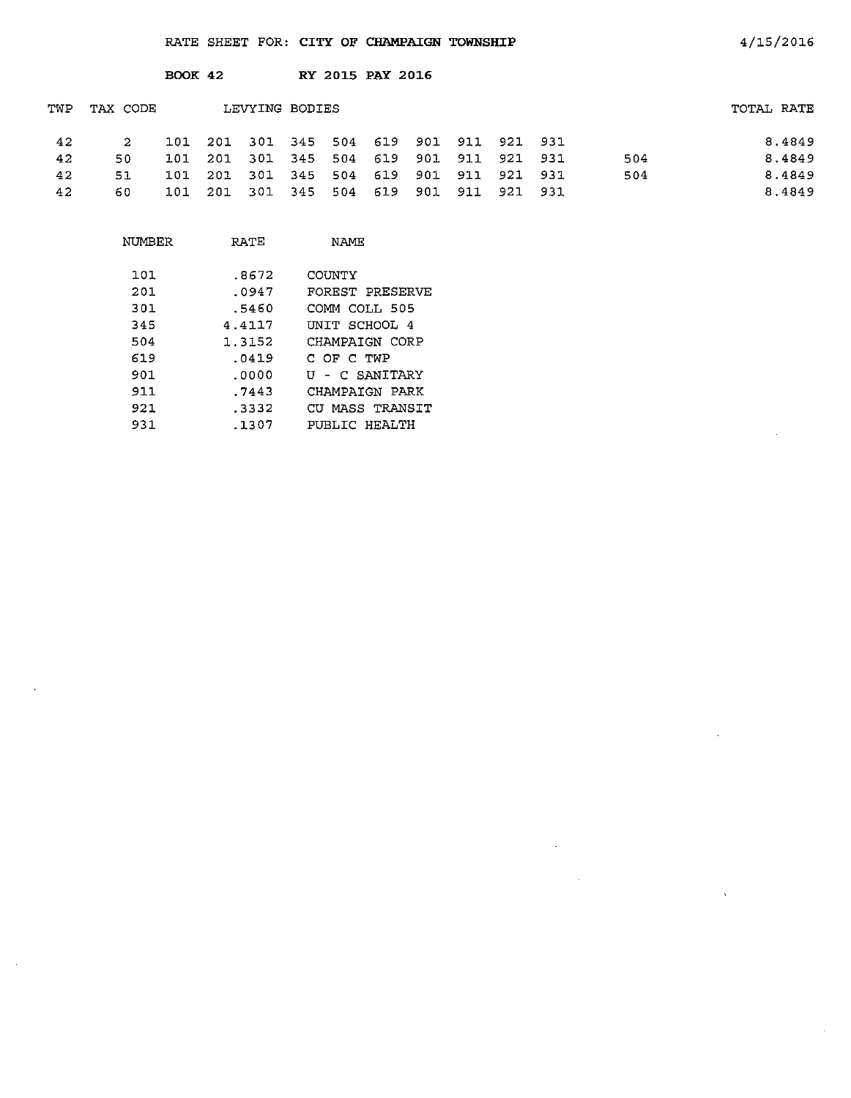|     |          | <b>BOOK 42</b> |     |                |     | RY 2015 PAY 2016                |  |                 |     |            |
|-----|----------|----------------|-----|----------------|-----|---------------------------------|--|-----------------|-----|------------|
| TWP | TAX CODE |                |     | LEVYING BODIES |     |                                 |  |                 |     | TOTAL RATE |
| 42  | 2        | 101            | 201 |                |     | 301 345 504 619 901 911 921 931 |  |                 |     | 8.4849     |
| 42  | 50       | 101            | 201 |                |     | 301 345 504 619 901 911 921 931 |  |                 | 504 | 8.4849     |
| 42  | 51       | 101            | 201 |                |     | 301 345 504 619                 |  | 901 911 921 931 | 504 | 8.4849     |
| 42  | 60.      | 101            | 201 | 301 345        | 504 | 619 901                         |  | 911 921 931     |     | 8.4849     |

| NUMBER | RATE   | NAME            |
|--------|--------|-----------------|
| 101    | .8672  | COUNTY          |
| 201    | .0947  | FOREST PRESERVE |
| 301    | .5460  | COMM COLL 505   |
| 345    | 4.4117 | INIT SCHOOL 4   |
| 504    | 1.3152 | CHAMPAIGN CORP  |
| 619    | .0419  | C OF C TWP      |
| 901.   | . ೧೧೦೧ | U - C SANITARY  |
| 911    | . 7443 | CHAMPAIGN PARK  |
| 921    | . 3332 | CU MASS TRANSIT |
| 931    | . 1307 | PUBLIC HEALTH   |

 $\hat{\boldsymbol{\theta}}$ 

 $\sim 10^7$ 

4/15/2016

 $\sim 10$ 

 $\hat{\mathbf{v}}$ 

 $\alpha$ 

 $\sim$   $\sim$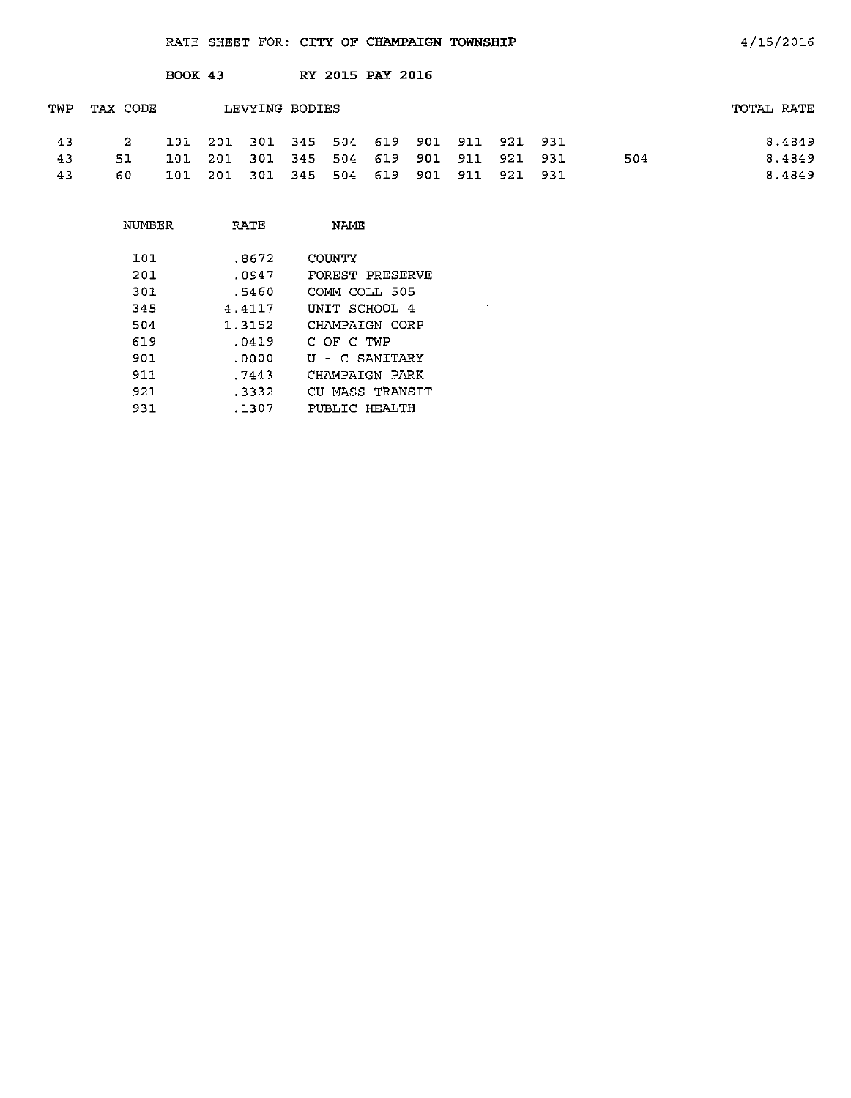|     |          | <b>BOOK 43</b> |      |                                 |         |     | RY 2015 PAY 2016 |     |             |     |            |
|-----|----------|----------------|------|---------------------------------|---------|-----|------------------|-----|-------------|-----|------------|
| TWP | TAX CODE |                |      | LEVYING BODIES                  |         |     |                  |     |             |     | TOTAL RATE |
| 43  | 2.       | 101            | -201 | 301 345 504 619 901 911 921 931 |         |     |                  |     |             |     | 8.4849     |
| 43  | 51       | 101            | 201  | 301                             | 345     | 504 | 619              | 901 | 911 921 931 | 504 | 8.4849     |
| 43  | 60.      | 101            | 201  | 301                             | 345 504 |     | 619              | 901 | 911 921 931 |     | 8.4849     |

 $\mathcal{L}^{\text{max}}_{\text{max}}$ 

| NUMBER | RATE   | NAMF            |
|--------|--------|-----------------|
| 1 O L  | .8672  | COUNTY          |
| 201    | .0947  | FOREST PRESERVE |
| 301    | .5460  | COMM COLL 505   |
| 345    | 4.4117 | INTT SCHOOL 4   |
| 504    | 1.3152 | CHAMPAIGN CORP  |
| 619    | .0419  | C OF C TWP      |
| 901    | .0000  | U - C SANITARY  |
| 911.   | .7443  | CHAMPAIGN PARK  |
| 921    | .3332  | CU MASS TRANSIT |
| 931    | .1307  | PUBLIC HEALTH   |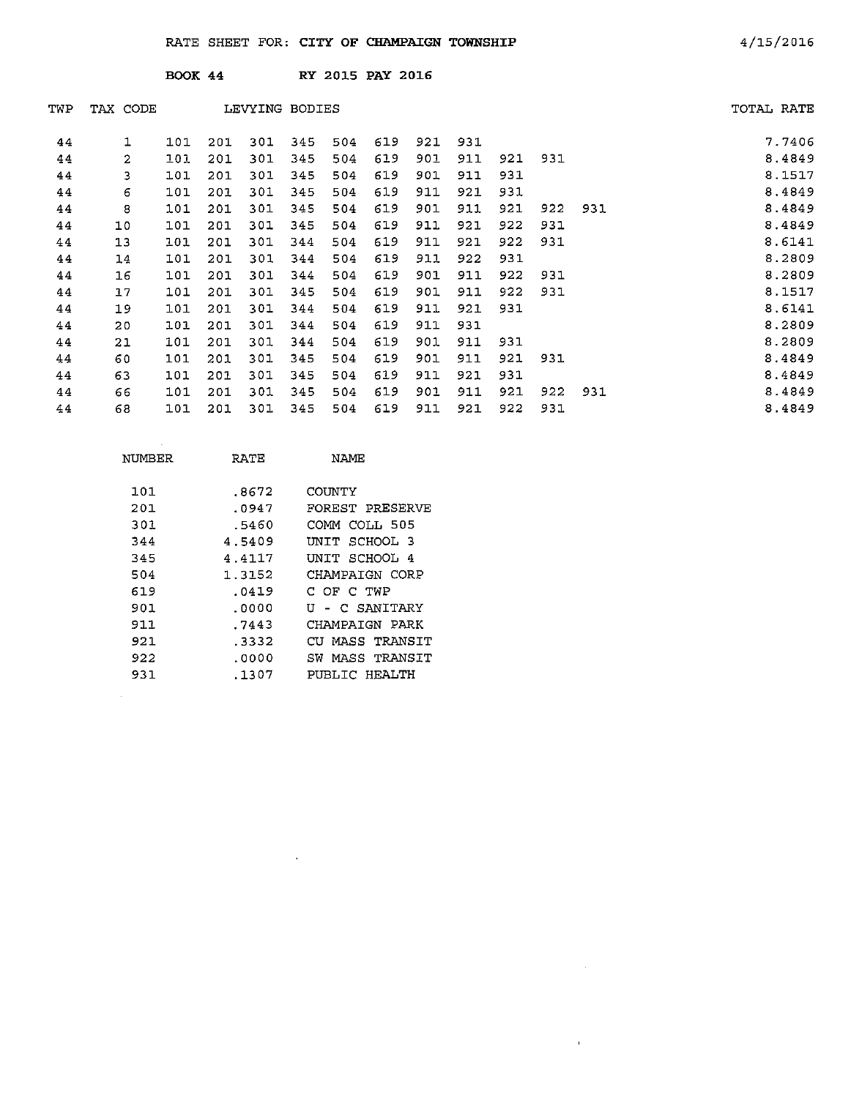**BOOK 44** RY 2015 **PAY** 2016

| TWP | TAX CODE     |     |     | LEVYING BODIES |     |     |     |     |     |     |     |     | TOTAL RATE |        |
|-----|--------------|-----|-----|----------------|-----|-----|-----|-----|-----|-----|-----|-----|------------|--------|
| 44  | 1            | 101 | 201 | 301            | 345 | 504 | 619 | 921 | 931 |     |     |     |            | 7.7406 |
| 44  | $\mathbf{2}$ | 101 | 201 | 301            | 345 | 504 | 619 | 901 | 911 | 921 | 931 |     |            | 8.4849 |
| 44  | 3            | 101 | 201 | 301            | 345 | 504 | 619 | 901 | 911 | 931 |     |     |            | 8.1517 |
| 44  | 6            | 101 | 201 | 301            | 345 | 504 | 619 | 911 | 921 | 931 |     |     |            | 8.4849 |
| 44  | 8            | 101 | 201 | 301            | 345 | 504 | 619 | 901 | 911 | 921 | 922 | 931 |            | 8.4849 |
| 44  | 10           | 101 | 201 | 301            | 345 | 504 | 619 | 911 | 921 | 922 | 931 |     |            | 8.4849 |
| 44  | 13           | 101 | 201 | 301            | 344 | 504 | 619 | 911 | 921 | 922 | 931 |     |            | 8.6141 |
| 44  | 14           | 101 | 201 | 301            | 344 | 504 | 619 | 911 | 922 | 931 |     |     |            | 8.2809 |
| 44  | 16           | 101 | 201 | 301            | 344 | 504 | 619 | 901 | 911 | 922 | 931 |     |            | 8.2809 |
| 44  | 17           | 101 | 201 | 301            | 345 | 504 | 619 | 901 | 911 | 922 | 931 |     |            | 8.1517 |
| 44  | 19           | 101 | 201 | 301            | 344 | 504 | 619 | 911 | 921 | 931 |     |     |            | 8.6141 |
| 44  | 20           | 101 | 201 | 301            | 344 | 504 | 619 | 911 | 931 |     |     |     |            | 8.2809 |
| 44  | 21           | 101 | 201 | 301            | 344 | 504 | 619 | 901 | 911 | 931 |     |     |            | 8.2809 |
| 44  | 60           | 101 | 201 | 301            | 345 | 504 | 619 | 901 | 911 | 921 | 931 |     |            | 8.4849 |
| 44  | 63           | 101 | 201 | 301            | 345 | 504 | 619 | 911 | 921 | 931 |     |     |            | 8.4849 |
| 44  | 66           | 101 | 201 | 301            | 345 | 504 | 619 | 901 | 911 | 921 | 922 | 931 |            | 8.4849 |
| 44  | 68           | 101 | 201 | 301            | 345 | 504 | 619 | 911 | 921 | 922 | 931 |     |            | 8.4849 |

 $\sim 10^{-11}$ 

| NUMBER | RATE   | NAME                 |
|--------|--------|----------------------|
| 101    | .8672  | COUNTY               |
| 201    | .0947  | FOREST PRESERVE      |
| 301    | .5460  | COMM COLL 505        |
| 344    | 4.5409 | UNIT SCHOOL 3        |
| 345    | 4.4117 | UNIT SCHOOL 4        |
| 504    | 1.3152 | CHAMPAIGN CORP       |
| 619    | .0419  | C OF C TWP           |
| 901    | . 0000 | - C SANITARY<br>τT   |
| 911    | .7443  | CHAMPAIGN PARK       |
| 921    | . 3332 | MASS TRANSIT<br>CTT. |
| 922    | .0000  | SW MASS TRANSIT      |
| 931    | .1307  | PUBLIC HEALTH        |

 $\sim$ 

 $\sim 10^6$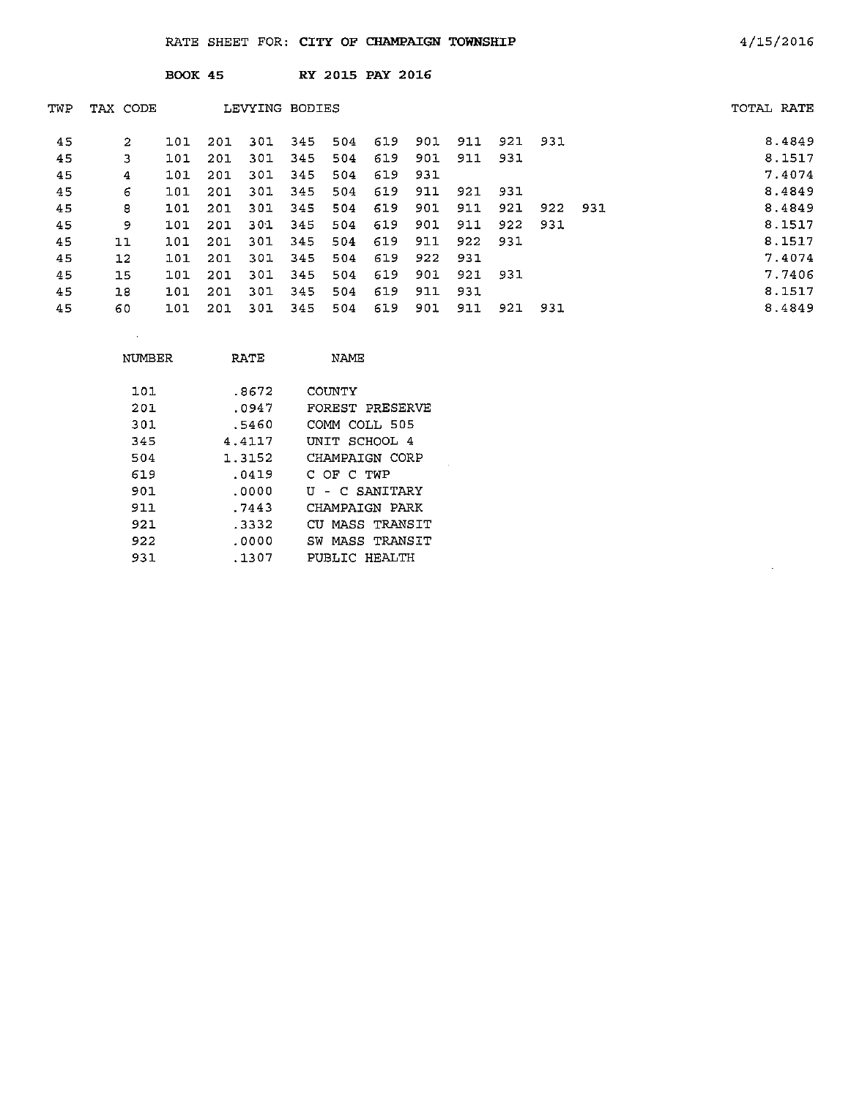|     |          | <b>BOOK 45</b> |     |                |     |     | RY 2015 PAY 2016 |     |     |     |     |     |            |
|-----|----------|----------------|-----|----------------|-----|-----|------------------|-----|-----|-----|-----|-----|------------|
| TWP | TAX CODE |                |     | LEVYING BODIES |     |     |                  |     |     |     |     |     | TOTAL RATE |
| 45  | 2        | 101            | 201 | 301            | 345 | 504 | 619              | 901 | 911 | 921 | 931 |     | 8.4849     |
| 45  | 3        | 101            | 201 | 301            | 345 | 504 | 619              | 901 | 911 | 931 |     |     | 8.1517     |
| 45  | 4        | 101            | 201 | 301            | 345 | 504 | 619              | 931 |     |     |     |     | 7.4074     |
| 45  | 6        | 101            | 201 | 301            | 345 | 504 | 619              | 911 | 921 | 931 |     |     | 8.4849     |
| 45  | 8        | 101            | 201 | 301            | 345 | 504 | 619              | 901 | 911 | 921 | 922 | 931 | 8.4849     |
| 45  | 9.       | 101            | 201 | 301            | 345 | 504 | 619              | 901 | 911 | 922 | 931 |     | 8.1517     |
| 45  | 11       | 101            | 201 | 301            | 345 | 504 | 619              | 911 | 922 | 931 |     |     | 8.1517     |
| 45  | $12 \,$  | 101            | 201 | 301            | 345 | 504 | 619              | 922 | 931 |     |     |     | 7.4074     |
| 45  | 15       | 101            | 201 | 301            | 345 | 504 | 619              | 901 | 921 | 931 |     |     | 7.7406     |
| 45  | 18       | 101            | 201 | 301            | 345 | 504 | 619              | 911 | 931 |     |     |     | 8.1517     |
| 45  | 60       | 101            | 201 | 301            | 345 | 504 | 619              | 901 | 911 | 921 | 931 |     | 8.4849     |

| NUMBER | RATE   | NAME            |
|--------|--------|-----------------|
| 101    | .8672  | COUNTY          |
| 201    | .0947  | FOREST PRESERVE |
| 301    | .5460  | COMM COLL 505   |
| 345    | 4.4117 | UNIT SCHOOL 4   |
| 504    | 1.3152 | CHAMPAIGN CORP  |
| 619    | .0419  | C OF C TWP      |
| 901    | .0000  | U - C SANITARY  |
| 911    | .7443  | CHAMPAIGN PARK  |
| 921    | -3332  | CU MASS TRANSIT |
| 922    | .0000  | SW MASS TRANSIT |
| 931    | .1307  | PUBLIC HEALTH   |

 $\sim$   $\sim$ 

 $\bar{z}$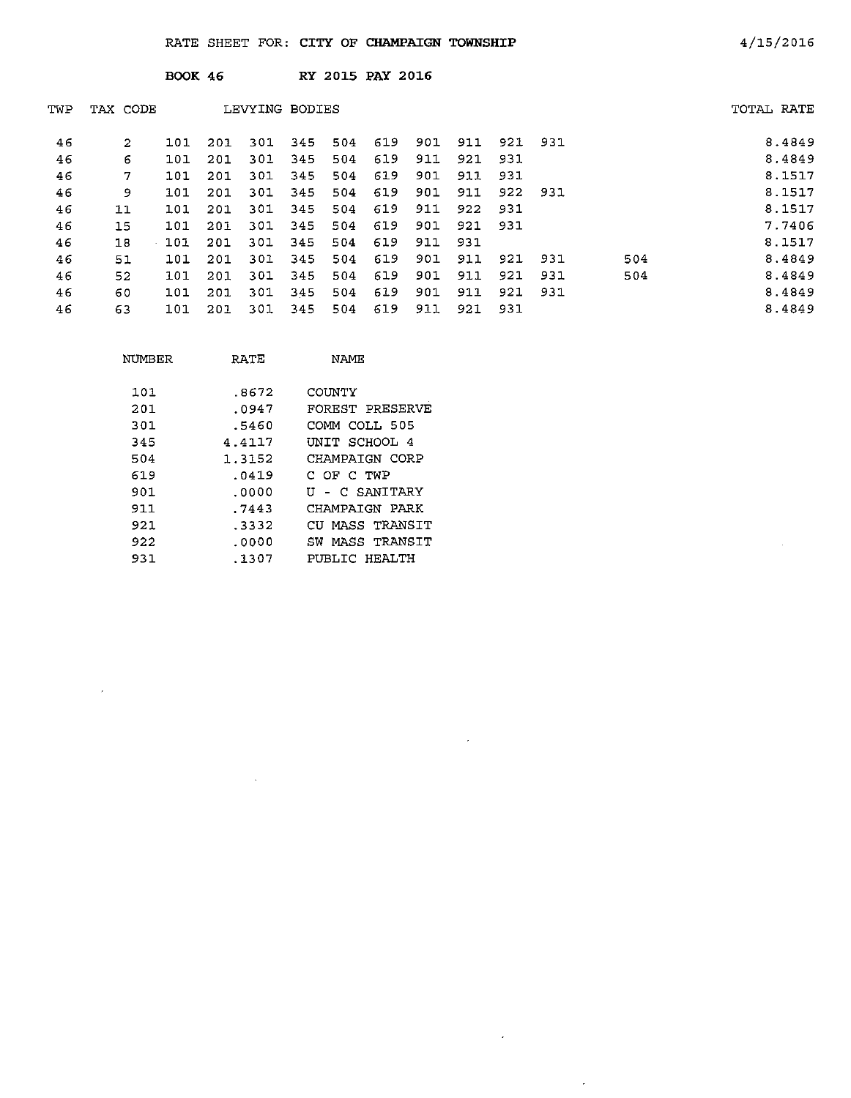| <b>BOOK 46</b> | <b>RY 2015 PAY 2016</b> |  |
|----------------|-------------------------|--|
|                |                         |  |

| TWP | TAX CODE |     |     | LEVYING BODIES |     |     |     |     |     |     |     |     | TOTAL RATE |
|-----|----------|-----|-----|----------------|-----|-----|-----|-----|-----|-----|-----|-----|------------|
| 46  | 2        | 101 | 201 | 301            | 345 | 504 | 619 | 901 | 911 | 921 | 931 |     | 8.4849     |
| 46  | 6        | 101 | 201 | 301            | 345 | 504 | 619 | 911 | 921 | 931 |     |     | 8.4849     |
| 46  | 7        | 101 | 201 | 301            | 345 | 504 | 619 | 901 | 911 | 931 |     |     | 8.1517     |
| 46  | 9        | 101 | 201 | 301            | 345 | 504 | 619 | 901 | 911 | 922 | 931 |     | 8.1517     |
| 46  | 11       | 101 | 201 | 301            | 345 | 504 | 619 | 911 | 922 | 931 |     |     | 8.1517     |
| 46  | 15       | 101 | 201 | 301            | 345 | 504 | 619 | 901 | 921 | 931 |     |     | 7.7406     |
| 46  | 18       | 101 | 201 | 301            | 345 | 504 | 619 | 911 | 931 |     |     |     | 8.1517     |
| 46  | 51       | 101 | 201 | 301            | 345 | 504 | 619 | 901 | 911 | 921 | 931 | 504 | 8.4849     |
| 46  | 52       | 101 | 201 | 301            | 345 | 504 | 619 | 901 | 911 | 921 | 931 | 504 | 8.4849     |
| 46  | 60       | 101 | 201 | 301            | 345 | 504 | 619 | 901 | 911 | 921 | 931 |     | 8.4849     |
| 46  | 63       | 101 | 201 | 301            | 345 | 504 | 619 | 911 | 921 | 931 |     |     | 8.4849     |

 $\bar{\epsilon}$ 

 $\bar{\beta}$ 

 $\bar{\mathcal{A}}$ 

| NUMBER | RATE   | NAME                |
|--------|--------|---------------------|
| 101    | .8672  | COUNTY              |
| 201    | .0947  | FOREST PRESERVE     |
| 301    | .5460  | COMM COLL 505       |
| 345    | 4.4117 | UNIT SCHOOL 4       |
| 504    | 1.3152 | CHAMPAIGN CORP      |
| 619    | .0419  | C OF C TWP          |
| 901    | .0000  | U - C SANITARY      |
| 911    | .7443  | CHAMPAIGN PARK      |
| 921    | .3332  | CU MASS TRANSIT     |
| 922    | .0000  | MASS TRANSIT<br>SW. |
| 931    | .1307  | PUBLIC HEALTH       |

 $\mathcal{A}$ 

 $\sim 10^7$ 

 $\sim$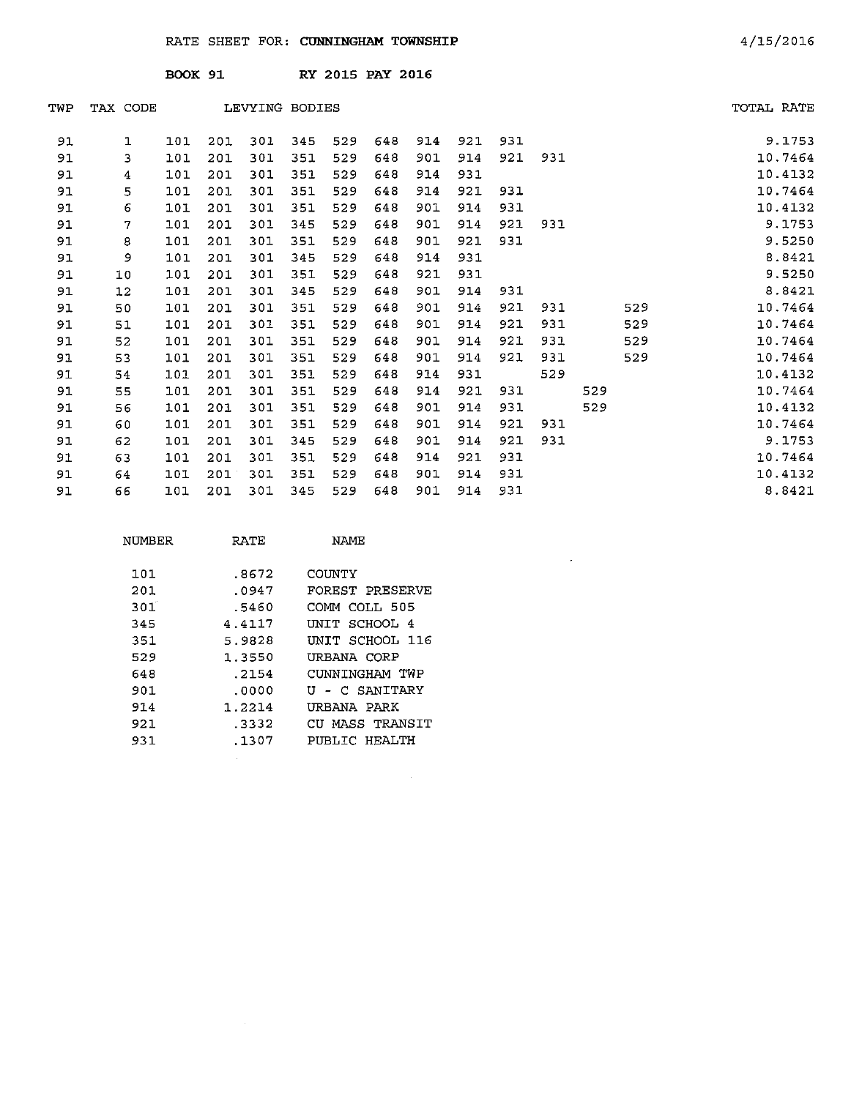|     |          | <b>BOOK 91</b> |     |                |     |     | RY 2015 PAY 2016 |     |     |     |     |     |     |            |
|-----|----------|----------------|-----|----------------|-----|-----|------------------|-----|-----|-----|-----|-----|-----|------------|
| TWP | TAX CODE |                |     | LEVYING BODIES |     |     |                  |     |     |     |     |     |     | TOTAL RATE |
| 91  | 1        | 101            | 201 | 301            | 345 | 529 | 648              | 914 | 921 | 931 |     |     |     | 9.1753     |
| 91  | 3        | 101            | 201 | 301            | 351 | 529 | 648              | 901 | 914 | 921 | 931 |     |     | 10.7464    |
| 91  | 4        | 101            | 201 | 301            | 351 | 529 | 648              | 914 | 931 |     |     |     |     | 10.4132    |
| 91  | 5        | 101            | 201 | 301            | 351 | 529 | 648              | 914 | 921 | 931 |     |     |     | 10.7464    |
| 91  | 6        | 101            | 201 | 301            | 351 | 529 | 648              | 901 | 914 | 931 |     |     |     | 10.4132    |
| 91  | 7        | 101            | 201 | 301            | 345 | 529 | 648              | 901 | 914 | 921 | 931 |     |     | 9.1753     |
| 91  | 8        | 101            | 201 | 301            | 351 | 529 | 648              | 901 | 921 | 931 |     |     |     | 9.5250     |
| 91  | 9        | 101            | 201 | 301            | 345 | 529 | 648              | 914 | 931 |     |     |     |     | 8.8421     |
| 91  | 10       | 101            | 201 | 301            | 351 | 529 | 648              | 921 | 931 |     |     |     |     | 9.5250     |
| 91  | 12       | 101            | 201 | 301            | 345 | 529 | 648              | 901 | 914 | 931 |     |     |     | 8.8421     |
| 91  | 50       | 101            | 201 | 301            | 351 | 529 | 648              | 901 | 914 | 921 | 931 |     | 529 | 10.7464    |
| 91  | 51       | 101            | 201 | 301            | 351 | 529 | 648              | 901 | 914 | 921 | 931 |     | 529 | 10.7464    |
| 91  | 52       | 101            | 201 | 301            | 351 | 529 | 648              | 901 | 914 | 921 | 931 |     | 529 | 10.7464    |
| 91  | 53       | 101            | 201 | 301            | 351 | 529 | 648              | 901 | 914 | 921 | 931 |     | 529 | 10.7464    |
| 91  | 54       | 101            | 201 | 301            | 351 | 529 | 648              | 914 | 931 |     | 529 |     |     | 10.4132    |
| 91  | 55       | 101            | 201 | 301            | 351 | 529 | 648              | 914 | 921 | 931 |     | 529 |     | 10.7464    |
| 91  | 56       | 101            | 201 | 301            | 351 | 529 | 648              | 901 | 914 | 931 |     | 529 |     | 10.4132    |
| 91  | 60       | 101            | 201 | 301            | 351 | 529 | 648              | 901 | 914 | 921 | 931 |     |     | 10.7464    |
| 91  | 62       | 101            | 201 | 301            | 345 | 529 | 648              | 901 | 914 | 921 | 931 |     |     | 9.1753     |
| 91  | 63       | 101            | 201 | 301            | 351 | 529 | 648              | 914 | 921 | 931 |     |     |     | 10.7464    |
| 91  | 64       | 101            | 201 | 301            | 351 | 529 | 648              | 901 | 914 | 931 |     |     |     | 10.4132    |
| 91  | 66       | 101            | 201 | 301            | 345 | 529 | 648              | 901 | 914 | 931 |     |     |     | 8.8421     |

 $\sim 10^{-11}$ 

| NUMBER           | RATE   | NAME             |
|------------------|--------|------------------|
| 101              | .8672  | COINTY           |
| 201              | .0947  | FOREST PRESERVE  |
| 301 <sup>°</sup> | .5460  | COMM COLL 505    |
| 345              | 4.4117 | SCHOOL 4<br>UNIT |
| 351              | 5.9828 | INTT SCHOOL 116  |
| 529              | 1.3550 | URBANA CORP      |
| 648              | . 2154 | CUNNINGHAM TWP   |
| 901.             | .0000  | U - C SANITARY   |
| 914              | 1.2214 | URBANA PARK      |
| 921.             | . 3332 | CU MASS TRANSIT  |
| 931              | . 1307 | PUBLIC HEALTH    |

 $\sim 10^6$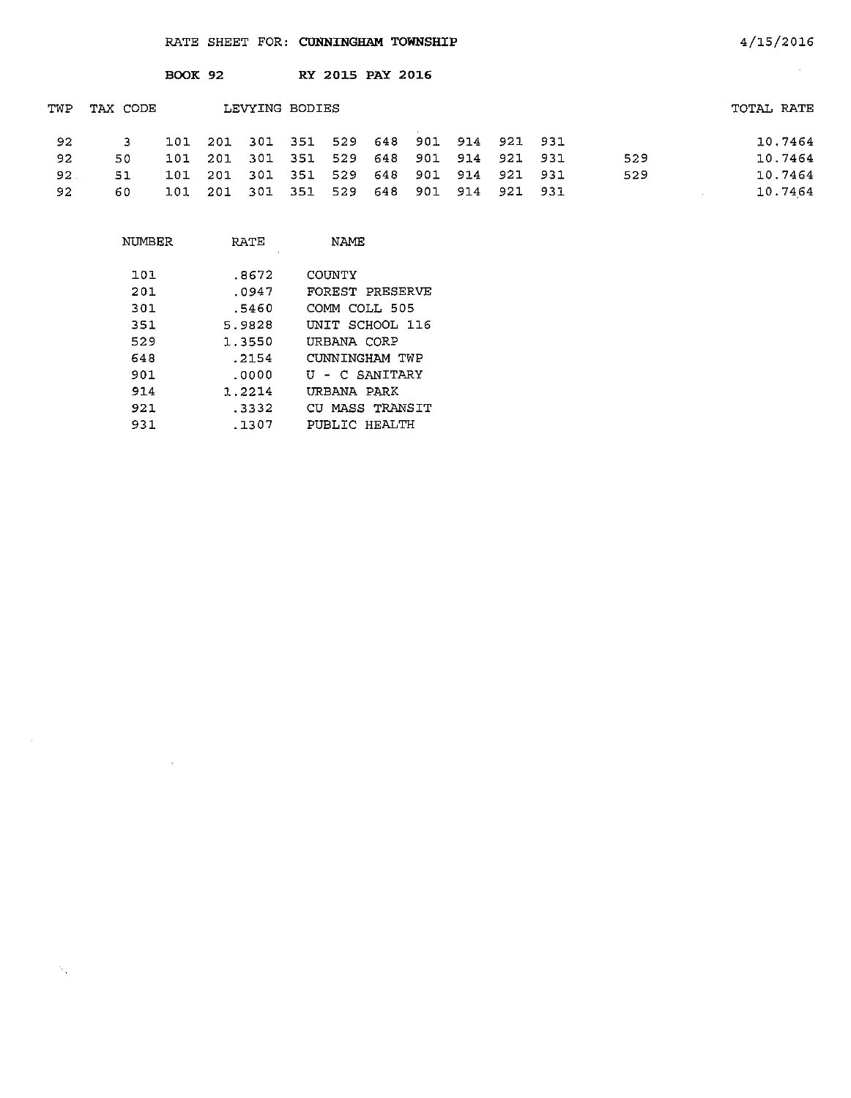|     |          | <b>BOOK 92</b> |      |                |     | RY 2015 PAY 2016 |         |     |     |                 |     |            |
|-----|----------|----------------|------|----------------|-----|------------------|---------|-----|-----|-----------------|-----|------------|
| TWP | TAX CODE |                |      | LEVYING BODIES |     |                  |         |     |     |                 |     | TOTAL RATE |
| 92  | 3        | 101            | 201  | 301            | 351 |                  | 529 648 |     |     | 901 914 921 931 |     | 10.7464    |
| 92  | 50       | 101            | 201  | 301 351        |     | 529              | 648     | 901 | 914 | 921 931         | 529 | 10.7464    |
| 92. | 51       | 101            | 201  | 301            | 351 | 529              | 648     | 901 | 914 | 921 931         | 529 | 10.7464    |
| 92  | 60       | 101            | -201 | 301 351        |     | 529              | 648     | 901 | 914 | 921 931         |     | 10.7464    |

4/15/2016

 $\sim$   $\sim$ 

| NUMBER | RATE   | NAME            |
|--------|--------|-----------------|
| 101    | .8672  | COUNTY          |
| 201    | .0947  | FOREST PRESERVE |
| 301    | .5460  | COMM COLL 505   |
| 351    | 5.9828 | UNIT SCHOOL 116 |
| 529    | 1.3550 | URBANA CORP     |
| 648    | . 2154 | CUNNINGHAM TWP  |
| 901    | . ೧೧೦೦ | U - C SANITARY  |
| 914    | 1.2214 | URBANA PARK     |
| 921    | . 3332 | CU MASS TRANSIT |
| 931.   | .1307  | PURLIC HRALTH   |

 $\sim N_{\rm X}$  .

 $\mathcal{L}^{\text{max}}_{\text{max}}$  and  $\mathcal{L}^{\text{max}}_{\text{max}}$